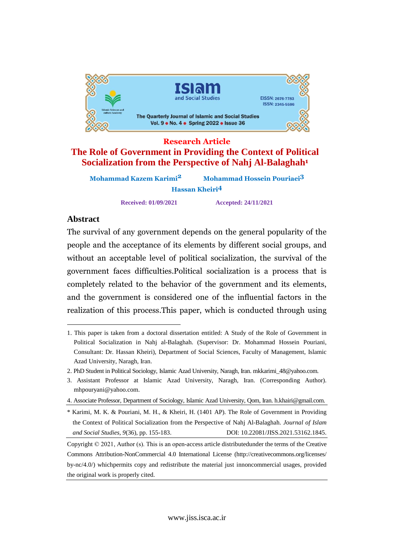

# **Research Article The Role of Government in Providing the Context of Political Socialization from the Perspective of Nahj Al-Balaghah<sup>1</sup>**

| Mohammad Kazem Karimi <sup>2</sup> | <b>Mohammad Hossein Pouriaei3</b> |  |
|------------------------------------|-----------------------------------|--|
|                                    | <b>Hassan Kheiri<sup>4</sup></b>  |  |

**Received: 01/09/2021 Accepted: 24/11/2021**

#### **Abstract** The set

ract<br>survival of any government depends on the general popularity of the <sub>r</sub> inc ou and the acceptance of its elements by different social groups, and people: an acceptable level of political socialization, the survival of the without an faces difficulties.Political socialization is <sup>a</sup> process that is  $\mathbf{s}^{\mathrm{o}$  chance completely related to the behavior of the government and its elements, the government is considered one of the influential factors in the and the s realization of this process. This paper, which is conducted through using

<sup>1.</sup> This paper is taken from a doctoral dissertation entitled: A Study of the Role of Government in Political Socialization in Nahj al-Balaghah. (Supervisor: Dr. Mohammad Hossein Pouriani, Consultant: Dr. Hassan Kheiri), Department of Social Sciences, Faculty of Management, Islamic Azad University, Naragh, Iran.

<sup>2.</sup> PhD Student in Political Sociology, Islamic Azad University, Naragh, Iran. [mkkarimi\\_48@yahoo.com.](mailto:mkkarimi_48@yahoo.com.)

<sup>3.</sup> Assistant Professor at Islamic Azad University, Naragh, Iran. (Corresponding Author). [mhpouryani@yahoo.com.](mailto:mhpouryani@yahoo.com.)

<sup>4.</sup> Associate Professor, Department of Sociology, Islamic Azad University, Qom, Iran. [h.khairi@gmail.com.](mailto:h.khairi@gmail.com.)

<sup>\*</sup> Karimi, M. K. & Pouriani, M. H., & Kheiri, H. (1401 AP). The Role of Government in Providing the Context of Political Socialization from the Perspective of Nahj Al-Balaghah. *Journal of Islam and Social Studies, 9*(36), pp. 155-183. DOI: 10.22081/JISS.2021.53162.1845.

Copyright © 2021, Author (s). This is an open-access article distributedunder the terms of the Creative Commons Attribution-NonCommercial 4.0 International License (http://creativecommons.org/licenses/ by-nc/4.0/) whichpermits copy and redistribute the material just innoncommercial usages, provided the original work is properly cited.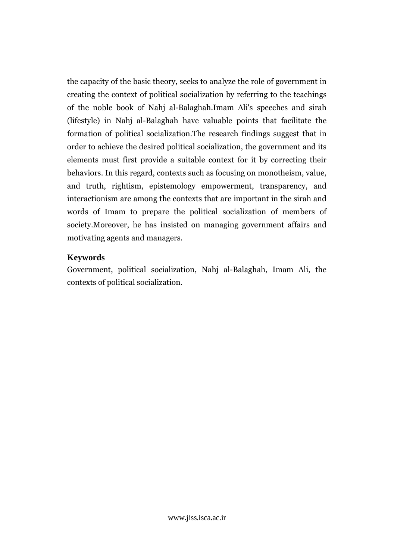the capacity of the basic theory, seeks to analyze the role of government in che capa the context of political socialization by referring to the teachings  $\ddot{\phantom{0}}$  the noble book of Nahj al-Balaghah.Imam Ali's speeches and sirah  $\overline{\text{ln}}$  in  $\overline{\text{ln}}$  in Nahj al-Balaghah have valuable points that facilitate the  $(m\omega, \omega)$  of political socialization.The research findings suggest that in rorme<br>... to achieve the desired political socialization, the government and its<br>to achieve the desired political socialization, the government and its  $rac{1}{2}$  must first provide <sup>a</sup> suitable context for it by correcting their behaviors.behaviors. In this regard, contexts such as focusing on monotheism, value, truth, rightism, epistemology empowerment, transparency, and and truth, h<sub>i</sub> are among the contexts that are important in the sirah and mund of Imam to prepare the political socialization of members of words of final he has insisted on managing government affairs and  $\frac{1}{2}$ motivating agents and managers.

# Keywords

Reywords<br>Government, political socialization, Nahj al-Balaghah, Imam Ali, the contexts of political socialization.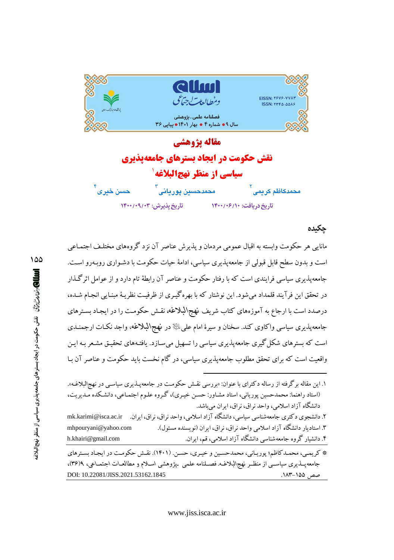

مقاله يژوهشي **نقش حکومت در ایجاد بسترهای جامعهیذیری سیاسی از منظر نهجالبلاغه**` حمدحس<mark>ین پوریانی</mark> محم<mark>دكاظم كري</mark>مى حسن خبرى تاريخ يذيرش: ١۴٠٠/٠٩/٠٣ تاریخ دریافت: ١٤٠٠/٠۶/١٠

## جكىدە

صص ۱۵۵–۱۸۳.

مانایی هر حکومت وابسته به اقبال عمومی مردمان و پذیرش عناصر آن نزد گروههای مختلـف اجتمـاعی است و بدون سطح قابل قبولی از جامعهپذیری سیاسی، ادامهٔ حیات حکومت با دشـواری روبـهرو اسـت. جامعه پذیری سیاسی فرایندی است که با رفتار حکومت و عناصر آن رابطهٔ تام دارد و از عوامل اثر گیذار در تحقق این فرآیند قلمداد می شود. این نوشتار که با بهره گیـری از ظرفیـت نظریـهٔ مبنـایی انجـام شـده، درصدد است با ارجاع به آموزههای کتاب شریف نهج\لبلاغه، نقش حکومت را در ایجـاد بسـترهای جامعهپذیری سیاسی واکاوی کند. سخنان و سیرهٔ امام علی ﷺ در نهج\لبلاغه، واجد نکـات ارجمنـدی است که بسترهای شکل گیری جامعهپذیری سیاسی را تسهیل میسازد. یافتـههای تحقیـق مشـعر بـه ایـن واقعیت است که برای تحقق مطلوب جامعه پذیری سیاسی، در گام نخست باید حکومت و عناصر آن بـا

DOI: 10.22081/JISS.2021.53162.1845

۱۵۵

۱. این مقاله برگرفته از رساله دکترای با عنوان: «بررسی نقـش حکومـت در جامعهپـذیری سیاسـی در نهج|لبلاغـه». (استاد راهنما: محمدحسین یوریانی، استاد مشـاور: حسـن خیـری)، گـروه علـوم اجتمـاعی، دانشـكده مـدیریت، دانشگاه آزاد اسلامی، واحد نراق، نراق، ابران می باشد. ۲. دانشجوی دکتری جامعهشناسی سیاسی، دانشگاه آزاد اسلامی، واحد نراق، نراق، ایران. mk.karimi@isca.ac.ir ۳. استادیار دانشگاه آزاد اسلامی واحد نراق، نراق، ایران (نویسنده مسئول). mhpouryani@yahoo.com h.khairi@gmail.com ۴. دانشیار گروه جامعهشناسی دانشگاه آزاد اسلامی، قم، ایران. \* کریمی، محمـدکاظم؛ پوریـانی، محمدحسـین و خیـری، حسـن. (۱۴۰۱). نقـش حکومـت در ایجـاد بسـترهای جامعه پـــذیری سیاســـی از منظــر نهج\لبلاغــه. فصـــلنامه علمی پیژوهشی اســلام و مطالعــات اجـتمــاعی، ۹(۳۶)،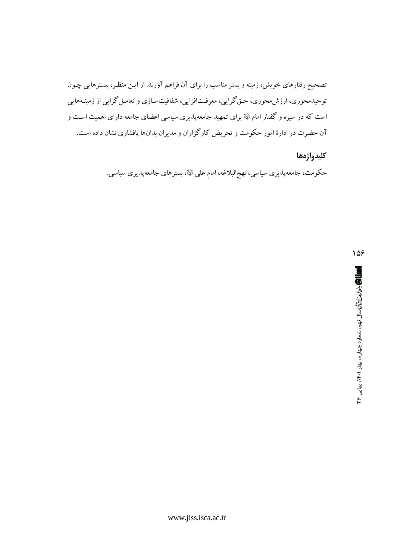تصحیح رفتارهای خویش، زمینه و بستر مناسب را برای آن فراهم آورند. از ایـن منظـر، بسـترهایی چـون توحیدمحوری، ارزش،حوری، حـق گرایی، معرفـتافزایی، شفافیتسـازی و تعامـل گرایی از زمینـههایی است که در سیره و گفتار امامﷺ برای تمهید جامعه پذیری سیاسی اعضای جامعه دارای اهمیت است و آن حضرت در ادارهٔ امور حکومت و تحریض کارگزاران و مدیران بدانها پافشاری نشان داده است.

## كليدواژهها

حکومت، جامعهپذیری سیاسی، نهج\لبلاغه، امام علیﷺ، بسترهای جامعهپذیری سیاسی.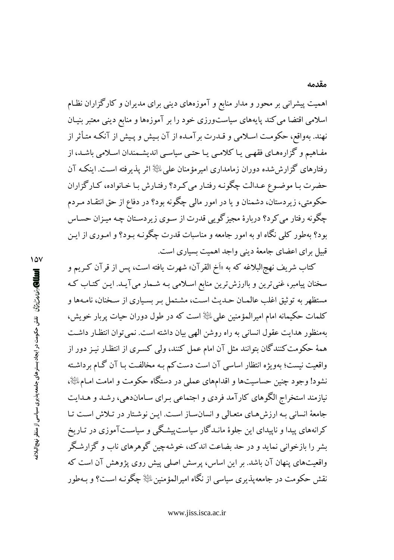اهمیت پیشرانی بر محور و مدار منابع و آموزههای دینی برای مدیران و کارگزاران نظـام اسلامی اقتضا می کند پایههای سیاستورزی خود را بر آموزهها و منابع دینی معتبر بنیـان نهند. بهواقع، حکومت اسلامی و قـدرت برآمـده از آن بـیش و پـیش از آنکـه متـأثر از مفـاهیم و گزارههـای فقهـی یـا کلامـی یـا حتـی سیاسـی اندیشـمندان اسـلامی باشـد، از رفتارهای گزارش شده دوران زمامداری امیرمؤمنان علمی ﷺ اثر پذیرفته است. اینکـه آن حضرت بـا موضـوع عـدالت چگونـه رفتـار مي كـرد؟ رفتـارش بـا خـانواده، كـارگزاران حکومتی، زیردستان، دشمنان و یا در امور مالی چگونه بود؟ در دفاع از حق انتقـاد مـردم چگونه رفتار می کرد؟ دربارهٔ مجیزگویی قدرت از سـوی زیردسـتان چـه میـزان حسـاس بود؟ بهطور کلی نگاه او به امور جامعه و مناسبات قدرت چگونـه بـود؟ و امـوری از ایـن قبیل برای اعضای جامعهٔ دینی واجد اهمیت بسیاری است.

كتاب شريف نهج|لبلاغه كه به «اَخ القرآن» شهرت يافته است، پس از قرآن كـريم و سخنان پیامبر، غنی ترین و باارزش ترین منابع اسلامی بـه شـمار می آیـد. ایـن کتـاب کـه مستظهر به توثيق اغلب عالمـان حـديث اسـت، مشـتمل بـر بسـياري از سـخنان، نامـهها و كلمات حكيمانه امام اميرالمؤمنين على ﷺ است كه در طول دوران حيات پربار خويش، بهمنظور هدایت عقول انسانی به راه روشن الهی بیان داشته است. نمی توان انتظـار داشـت همهٔ حکومت کنندگان بتوانند مثل آن امام عمل کنند، ولی کسـری از انتظـار نیـز دور از واقعیت نیست؛ بهویژه انتظار اساسی آن است دست کم بـه مخالفـت بـا آن گـام برداشـته نشود! وجود چنین حساسیتها و اقدامهای عملمی در دستگاه حکومت و امامت امـامِ ﷺ، نیازمند استخراج الگوهای کارآمد فردی و اجتماعی بـرای سـاماندهی، رشـد و هـدایت جامعهٔ انسانی به ارزشهای متعالی و انسانساز است. این نوشتار در تلاش است تا کرانههای پیدا و ناپیدای این جلوهٔ مانـدگار سیاستپیشـگی و سیاسـتآموزی در تـاریخ بشر را بازخوانی نماید و در حد بضاعت اندک، خوشهچین گوهرهای ناب و گزارشگر واقعیتهای پنهان آن باشد. بر این اساس، پرسش اصلی پیش روی پژوهش آن است که نقش حکومت در جامعه پذیری سیاسی از نگاه امیرالمؤمنین ﷺ چگونـه اسـت؟ و سهطور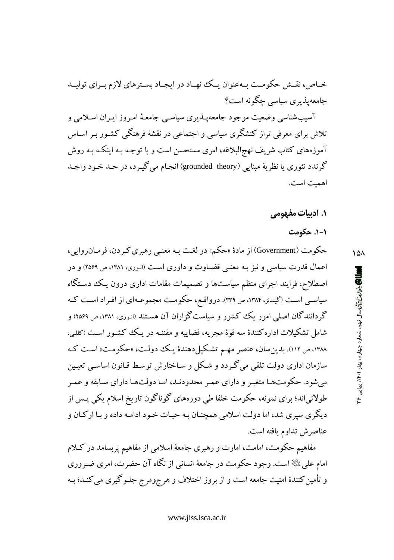آسیبشناسی وضعیت موجود جامعهپـذیری سیاسـی جامعـهٔ امـروز ایـران اسـلامی و تلاش برای معرفی تراز کنشگری سیاسی و اجتماعی در نقشهٔ فرهنگی کشـور بـر اسـاس آموزههای کتاب شریف نهج|لبلاغه، امری مستحسن است و با توجـه بـه اینکـه بـه روش گرندد تئوري يا نظريهٔ مبنايي (grounded theory) انجـام مي گيــرد، در حــد خــود واجــد اهمت است.

## **۱. ادبیات مفهومی**

## ۰۱-۱. حکومت

حکومت (Government) از مادهٔ «حکم» در لغت بـه معنـي رهبري کـردن، فرمـانروايي، اعمال قدرت سیاسی و نیز بـه معنـی قضـاوت و داوری اسـت (انـوری، ۱۳۸۱، ص ۲۵۶۹) و در اصطلاح، فرایند اجرای منظم سیاستها و تصمیمات مقامات اداری درون یک دستگاه سیاسی است (گیدنز، ۱۳۸۴، ص ۳۳۹). درواقع، حکومت مجموعـهای از افـراد اسـت کـه گردانندگان اصلی امور یک کشور و سیاستگزاران آن هستند (انوری، ۱۳۸۱، ص ۲۵۶۹) و شامل تشکیلات اداره کنندهٔ سه قوهٔ مجریه، قضاییه و مقننـه در یـک کشـور اسـت (کللـی، ۱۳۸۸، ص ۱۱۲). بدین سان، عنصر مهم تشکیل دهندهٔ یک دولت، «حکومت» است که سازمان اداري دولت تلقى مى گـردد و شـكل و سـاختارش توسـط قـانون اساسـي تعيـين میشود. حکومتها متغیـر و دارای عمـر محدودنـد، امـا دولتهـا دارای سـابقه و عمـر طولانیاند؛ برای نمونه، حکومت خلفا طی دورههای گوناگون تاریخ اسلام یکی پـس از دیگری سپری شد، اما دولت اسلامی همچنـان بـه حیـات خـود ادامـه داده و بـا اركـان و عناصرش تداوم يافته است.

مفاهیم حکومت، امامت، امارت و رهبری جامعهٔ اسلامی از مفاهیم پربسامد در کلام امام علي ﷺ است. وجود حكومت در جامعهٔ انساني از نگاه آن حضرت، امرى ضـرورى و تأمین کنندهٔ امنیت جامعه است و از بروز اختلاف و هرجومرج جلـوگیری می کنـد؛ بـه

۱۵۸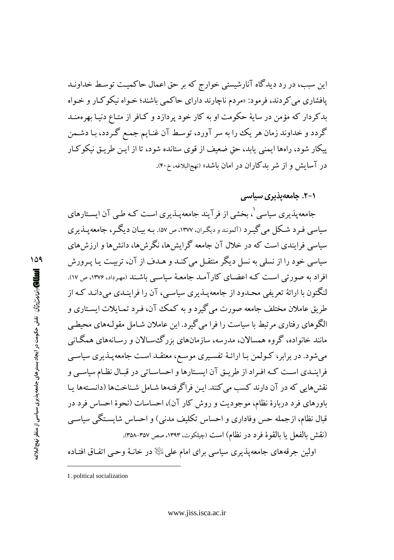این سبب، در رد دیدگاه آنارشیستی خوارج که بر حق اعمال حاکمیت توسط خداونـد پافشاری می کردند، فرمود: «مردم ناچارند دارای حاکمی باشند؛ خـواه نیکوکـار و خـواه بدکردار که مؤمن در سایهٔ حکومت او به کار خود پردازد و کـافر از متـاع دنیـا بهرهمنـد گردد و خداوند زمان هر یک را به سر آورد، توسط آن غنـایم جمـع گـردد، بـا دشـمن پیکار شود، راهها ایمنی پابد، حق ضعیف از قوی ستانده شود، تا از ایـن طریـق نیکوکـار در آسایش و از شر بدکاران در امان باشد» (نهجالبلاغه، خ۴۰).

۰۱–۲. جامعهیذیری سیاس*ی* 

جامعه پذیری سیاسی ْ، بخشی از فرآیند جامعه پـذیری اسـت کـه طـی آن ایسـتارهای سیاسی فـرد شـکل می گیـرد (آلمونـدو دیگـران، ۱۳۷۷، ص ۵۷). بـه بیـان دیگـر، جامعه یــذیری سیاسی فرایندی است که در خلال آن جامعه گرایش ها، نگرش ها، دانش ها و ارزش های سیاسی خود را از نسلی به نسل دیگر منتقـل می کنـد و هـدف از آن، تربیـت یـا یـرورش افراد به صورتمی است کـه اعضـای کارآمـد جامعـهٔ سیاسـی باشـند (مهـرداد، ۱۳۷۶، ص ۱۷). لنگتون با ارائهٔ تعریفی محـدود از جامعهپـذیری سیاسـی، آن را فراینـدی میدانـد کـه از طریق عاملان مختلف جامعه صورت می گیرد و به کمک آن، فـرد تمـایلات ایسـتاری و الگوهای رفتاری مرتبط با سیاست را فرا می گیرد. این عاملان شـامل مقولـههای محیطـی مانند خانواده، گروه همسالان، مدرسه، سازمانهای بزرگئسـالان و رسـانههای همگـانی می شود. در برابر، کـولمن بـا ارائـهٔ تفسـیری موسـع، معتقـد اسـت جامعهپـذیری سیاسـی فراینـدي اسـت كـه افـراد از طريـق آن ايسـتارها و احساسـاتي در قبـال نظـام سياسـي و نقش هایی که در آن دارند کسب می کنند. این فراگرفتهها شـامل شـناختها (دانسـتهها پـا باورهای فرد دربارهٔ نظام، موجودیت و روش کار آن)، احساسات (نحوهٔ احساس فرد در قبال نظام، ازجمله حس وفاداری و احساس تکلیف مدنی) و احساس شایسـتگی سیاسـی (نقش بالفعل يا بالقوة فرد در نظام) است (چيلكوت، ١٣٩٣، صص ٣٥٧-٣٥٨).

اولین جرقههای جامعهپذیری سیاسی برای امام علی ﷺ در خانـهٔ وحـی اتفـاق افتـاده

109 **اسال)** ر*ئنل دڻائ آ* نقش حکومت در ايجاد بسترهای جامعه پذيری سياسی از منظر نهج لبلاغ

<sup>1.</sup> political socialization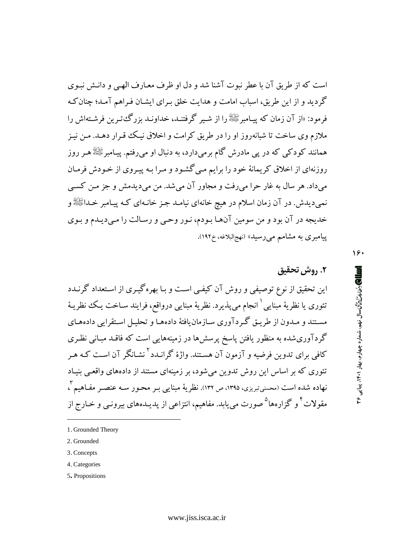است كه از طریق آن با عطر نبوت آشنا شد و دل او ظرف معبارف الهبے و دانـش نبـوی گردید و از این طریق، اسباب امامت و هدایت خلق بـرای ایشـان فـراهم آمـد؛ چنان کـه فرمود: «از آن زمان که پسامبرﷺ را از شـبر گرفتنـد، خداونـد بزرگۓتـرین فرشـتهاش را ملازم وی ساخت تا شبانهروز او را در طریق کرامت و اخلاق نیـک قـرار دهـد. مـن نیـز همانند کودکی که در پی مادرش گام برمیدارد، به دنبال او میروفتم. پیـامبرﷺ هـر روز روزنهای از اخلاق کریمانهٔ خود را برایم میگشود و مـرا بـه پیـروی از خـودش فرمـان می داد. هر سال به غار حرا می رفت و مجاور آن می شد. من می دیدمش و جز مـن کسـی نمیدیدش. در آن زمان اسلام در هیچ خانهای نیامـد جـز خانـهای کـه پیـامبر خـداﷺ و خدیجه در آن بود و من سومین آنها بودم، نـور وحـی و رسـالت را مـیدیـدم و بـوی پیامبری به مشامم میرسید» (نهجالبلاغه، خ۱۹۲).

۱۶۰

## ٢. روش تحقيق

این تحقیق از نوع توصیفی و روش آن کیفی است و بـا بهره گیـری از اسـتعداد گرنــدد تئوری یا نظریهٔ مبنایی <sup>۱</sup> انجام می<sub>ب</sub>ذیرد. نظریهٔ مبنایی درواقع، فرایند سـاخت یـک نظریـهٔ مسـتند و مـدون از طريـق گـردآوري سـازمانLيافتهٔ دادههـا و تحليـل اسـتقرايي دادههـاي گردآوریشده به منظور یافتن پاسخ پرسش۵ا در زمینههایی است که فاقـد مبـانـی نظـری کافی برای تدوین فرضیه و آزمون آن هسـتند. واژهٔ گرانــدد<sup>۲</sup>نشـانگر آن اسـت کـه هـر تئوری که بر اساس این روش تدوین میشود، بر زمینهای مستند از دادههای واقعی بنیاد نهاده شده است (محسنی تبریزی، ۱۳۹۵، ص ۱۳۲). نظر یهٔ مبنایی بـر محـور سـه عنصـر مفـاهیم آ، مقولات<sup>۴</sup> و گزارهها<sup>۵</sup> صورت می<sub>ن</sub>ابد. مفاهیم، انتزاعی از پدیـدههای بیرونـی و خـارج از

- 2. Grounded
- 3. Concepts
- 4. Categories
- 5. Propositions

<sup>1.</sup> Grounded Theory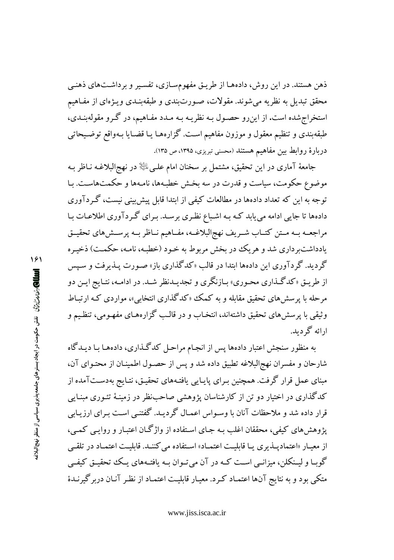ذهن هستند. در این روش، دادههـا از طریـق مفهومسـازی، تفسـیر و برداشـتهای ذهنـی محقق تبدیل به نظریه میشوند. مقولات، صورتبندی و طبقهبنـدی ویـژهای از مفـاهیم استخراج شده است. از این رو حصـول بـه نظریـه بـه مـدد مفـاهیم، در گـرو مقولهبنـدی، طبقهبندی و تنظیم معقول و موزون مفاهیم است. گزارههـا یـا قضـایا بـهواقع توضـیحاتبی دربارهٔ روابط بین مفاهیم هستند (محسنی تبریزی، ۱۳۹۵، ص ۱۳۵).

جامعهٔ آماری در این تحقیق، مشتمل بر سخنان امام علـیﷺ در نهجالبلاغـه نـاظر بـه موضوع حکومت، سیاست و قدرت در سه بخش خطبهها، نامـهها و حکمتهاسـت. بـا توجه به این که تعداد دادهها در مطالعات کیفی از ابتدا قابل پیش بینی نیست، گـردآوری دادهها تا جایی ادامه می یابد کـه بـه اشـباع نظـری برسـد. بـرای گـردآوری اطلاعـات بـا مراجعـه بـه مـتن كتـاب شـريف نهج|لبلاغـه، مفـاهيم نـاظر بـه پرسـش١هاي تحقيـق یادداشتبرداری شد و هریک در بخش مربوط به خـود (خطبـه، نامـه، حکمـت) ذخیـره گردید. گردآوری این دادهها ابتدا در قالب «کدگذاری باز» صورت پــذیرفت و سـیس از طریـق «کدگـذاري محـوري» بـازنگري و تجديـدنظر شـد. در ادامـه، نتـايج ايـن دو مرحله با پرسشهای تحقیق مقابله و به کمک «کدگذاری انتخابی»، مواردی کـه ارتبـاط وثيقي با پرسشهاي تحقيق داشتهاند، انتخـاب و در قالـب گزارههـاي مفهـومي، تنظـيم و ارائه گردید.

به منظور سنجش اعتبار دادهها پس از انجـام مراحـل کدگـذاری، دادههـا بـا ديـدگاه شارحان و مفسران نهج البلاغه تطبیق داده شد و پس از حصـول اطمینـان از محتـوای آن، مبنای عمل قرار گرفت. همچنین بـرای پایـایی یافتـههای تحقیـق، نتـایج بهدسـتآمده از کدگذاری در اختیار دو تن از کارشناسان پژوهشی صاحبنظر در زمینـهٔ تئـوری مبنـایی قرار داده شد و ملاحظات آنان با وسـواس اعمـال گردیـد. گفتنــی اسـت بـرای ارزیـابی یژوهش های کیفی، محققان اغلب بـه جـای اسـتفاده از واژگـان اعتبـار و روایـبی کمـبی، از معیـار «اعتمادیـذیری یـا قابلیـت اعتمـاد» اسـتفاده می کننـد. قابلیـت اعتمـاد در تلقـی گوبـا و لیـنکلن، میزانـبی اسـت کـه در آن می تـوان بـه یافتـههای یـک تتحقیـق کیفـی متکی بود و به نتایج آنها اعتمـاد کـرد. معیـار قابلیـت اعتمـاد از نظـر آنـان دربر گیرنـدهٔ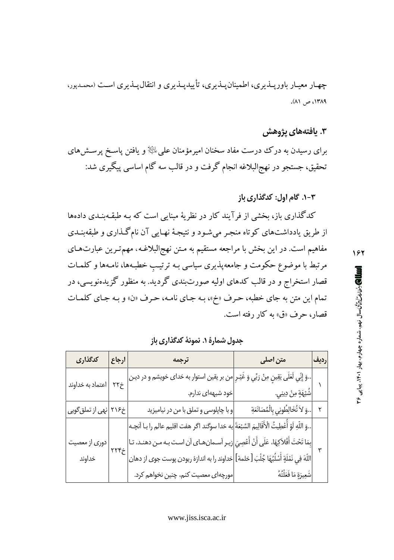چهـار معيـار باوريــذيري، اطمينانيــذيري، تأييديــذيري و انتقاليــذيري اسـت (محمـدپور، ١٣٨٩، ص ٨١).

# ۳. یافتههای پژوهش

برای رسیدن به درک درست مفاد سخنان امیرمؤمنان علیﷺ و یافتن پاسـخ پرســش۵ای تحقیق، جستجو در نهج|لبلاغه انجام گرفت و در قالب سه گام اساسی پیگیری شد:

## ۰۳-۱. گام اول: کدگذاری باز

کدگذاری باز، بخشی از فرآیند کار در نظریهٔ مبنایی است که بـه طبقـهبنـدی دادهها از طریق یادداشتهای کوتاه منجـر میشـود و نتیجـهٔ نهـایی آن نامگـذاری و طبقهبنـدی مفاهیم است. در این بخش با مراجعه مستقیم به مـتن نهج|لبلاغـه، مهمترین عبارتهـای مرتبط با موضوع حکومت و جامعهپذیری سیاسی بـه ترتیب خطبـهها، نامـهها و کلمـات قصار استخراج و در قالب کدهای اولیه صورتبندی گردید. به منظور گزیدهنویسی، در تمام این متن به جای خطبه، حرف «خ»، بـه جـای نامـه، حـرف «ن» و بـه جـای كلمـات قصار، حرف «ق» به کار رفته است.

| كدگذارى                            | ارجاع                            | ترجمه                                                                                                     | متن اصلی                              | رديف |
|------------------------------------|----------------------------------|-----------------------------------------------------------------------------------------------------------|---------------------------------------|------|
| اعتماد به خداوند                   | $\gamma\gamma\dot{\gamma}$       | وَ إِنِّي لَعَلَى يَقِينٍ مِنْ رَبِّي وَ غَيْـرِ <mark>امن بر يقين استوار به خداى خويشم و در دين</mark> ا |                                       |      |
|                                    |                                  | خود شبههای ندارم.                                                                                         | شُبْهَةٍ مِنْ دِينِي.                 |      |
| خ۲۱۶ <mark>نهی از تملق گویی</mark> |                                  | و با چاپلوسی و تملق با من در نیامیزید                                                                     | وَ لاَ تُخَالِطُونِي بِالْمُصَانَعَةِ |      |
|                                    | $\gamma\gamma\gamma\dot{\gamma}$ | وَ اللّهِ لَوْ أَعْطِيتُ الْأَقَالِيمَ السَّبْعَةَ ٰإِيه خدا سوگند اگر هفت اقليم عالم را بـا آنچـه        |                                       |      |
| دوری از معصیت                      |                                  | بِمَا تَحْتَ أَفْلاَكِهَا، عَلَى أَنْ أَعْصِيَ زيـر اَسـمانهـاى اَن اسـت بـه مـن دهنـد، تـا               |                                       |      |
| خداوند                             |                                  | اللّهَ فِي نَمْلَةٍ أَسْلُبُهَا جُلْبَ [خلمة] خداوند را به اندازهٔ ربودن پوست جوى از دهان                 |                                       |      |
|                                    |                                  | مورچهای معصیت کنم، چنین نخواهم کرد.                                                                       | شَعِيرَةٍ مَا فَعَلْتُهُ              |      |

جدول شمارهٔ ۱. نمونهٔ کدگذاری باز

۱۶۲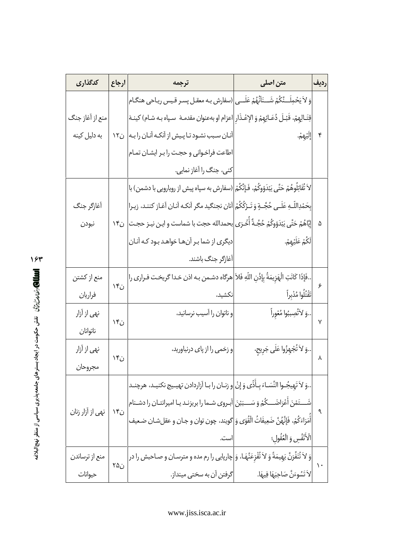| كدگذاري          | ارجاع               | ترجمه                                                                                              | متن اصلی                          | رديف          |
|------------------|---------------------|----------------------------------------------------------------------------------------------------|-----------------------------------|---------------|
|                  |                     | وَ لاَ يَحْمِلَــنَّكُمْ شَــنَاَنُهُمْ عَلَــى (سفارش بـه معقـل پسـر قـيس ريـاحي هنگـام           |                                   |               |
| منع از آغاز جنگ  |                     | قِتَـالِهمْ، قَبْـلَ دُعَـائِهِمْ وَ الإعْـذَار  اعزام او بهعنوان مقدمـهْ ۖ سـپاه بـه شـام) كينـهْ |                                   |               |
| به دلیل کینه     |                     | آنان سبب نشود تا پیش از آنکه آنان را به   ن۱۲                                                      | ٳڶؚٙێۿۜ؋ۥ                         | ۴             |
|                  |                     | اطاعت فراخواني وحجت رابر ايشان تمام                                                                |                                   |               |
|                  |                     | کنی، جنگ را آغاز نمایی.                                                                            |                                   |               |
|                  |                     | لاَ تُقَاتِلُوهُمْ حَتَّى يَبْدَوْوكُمْ، فَإِنَّكُمْ (سفارش به سپاه پیش از رویارویی با دشمن) با    |                                   |               |
| آغازگر جنگ       |                     | بحَمْدِاللَّـهِ عَلَـى حُجَّــةٍ وَ تَـرْكُكُمْ أنان نجنگيد مگر أنكه أنـان أغـاز كننـد، زيـرا      |                                   |               |
| نبودن            |                     | إِيَّاهُمْ حَتَّى يَبْدَوُوَكُمْ حُجَّـةٌ أُخْرَى بحمدالله حجت با شماست و اين نيـز حجـت  ن١۴       |                                   | ۵             |
|                  |                     | دیگری از شما بر آنها خواهد بود که آنان                                                             | لَكُمْ عَلَيْهِمْ.                |               |
|                  |                     | آغازگر جنگ باشند.                                                                                  |                                   |               |
| منع از کشتن      |                     | فَإِذَا كَانَتِ الْهَزِيمَةُ بِإِذْنِ اللّهِ فَلاَ هرگاه دشـمن بـه اذن خـدا گريخـت فـرارى را       |                                   |               |
| فراريان          | ن۱۴                 | نكشيد،                                                                                             | تَقْتُلُوا مُدْبِراً              | ۶             |
| نهي از آزار      |                     | و ناتوان را آسيب نرسانيد،                                                                          | وَ لاَتُصِببُوا مُعْوِراً         |               |
| ناتوانان         | $\mathcal{F}_{i,j}$ |                                                                                                    |                                   | ٧             |
| نهي از آزار      |                     | و زخمی را از پای درنیاورید،                                                                        | وَ لاَ تُجْهِزُوا عَلَى جَرِيح،   |               |
| مجروحان          | ن۱۴                 |                                                                                                    |                                   | ٨             |
|                  |                     | وَ لاَ تَهيجُـوا النِّسَـاءَ بِـأَذًى وَ إِنْ و زنـان را بـا اَزاردادن تهيـيج نكنيـد، هرچنـد       |                                   |               |
|                  |                     | شَـــتَمْنَ أَعْرَاضَـــكُمْ وَ سَـــبَبْنَ آبـروى شـما را بريزنـد يـا اميرانتـان را دشـنام        |                                   |               |
| نهي از آزار زنان | ن۱۴                 | أَمَرَاءَكُمْ، فَإِنَّهُنَّ ضَعِيفَاتُ الْقُوَى وَ كَويند، چون توان و جـان و عقلشـان ضـعيف         |                                   | ٩             |
|                  |                     | است.                                                                                               | الْأَنْفُس وَ الْعُقُولِ؛         |               |
| منع از ترساندن   |                     | وَ لاَ تُنَفِّرَنَّ بَهِيمَةً وَ لاَ تُفْزِعَنَّهَا، وَ چارپایی را رم مده و مترسان و صاحبش را در   |                                   |               |
| حيوانات          | ن۲۵                 | گرفتن آن به سختی مینداز.                                                                           | لاَ تَسُوءَنَّ صَاحِبَهَا فِيهَا. | $\mathcal{L}$ |

 $15r$ **Kqm V´¢g|± mL`½ L·rXzO ×¶L\_ pS ×r½ y ÈyL¾** از منظر نهج<br>م

**∏**<br>پ<br>پ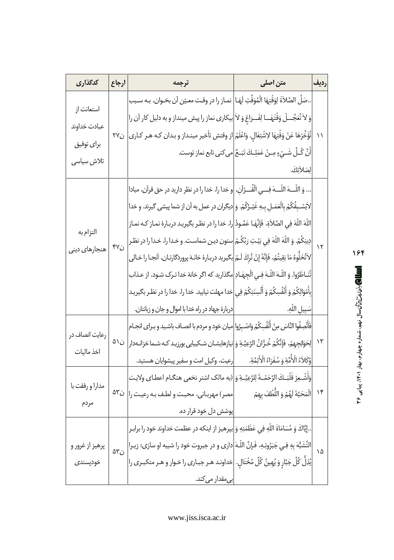| كدگذاري                     | ارجاع                 | ترجمه                                                                                                         | متن اصلی                                                                    | رديف         |
|-----------------------------|-----------------------|---------------------------------------------------------------------------------------------------------------|-----------------------------------------------------------------------------|--------------|
| استعانت از<br>عبادت خداوند  |                       | صَلِّ الصَّلاَةَ لِوَقْتِهَا الْمُوَقَّتِ لَهَـا نمـاز را در وقـت معـيّن آن بخـوان، بـه سـبب                  |                                                                             |              |
|                             |                       | وَ لاَ تُعَجِّـــلْ وَقْتَهَـــا لِفَـــرَاغ وَ لاَ بيكارى نماز را پيش مينداز و به دليل كار آن را             |                                                                             |              |
|                             |                       | ١١  تُؤَخِّرْهَا عَنْ وَقْتِهَا لِاشْتِغَال. وَاعْلَمْ از وقتش تأخير مينداز و بدان كـه هـر كـارى  ن٢٧         |                                                                             |              |
| براي توفيق                  |                       |                                                                                                               | أَنَّ كُـلَّ شَـيْءٍ مِـنْ عَمَلِـكَ تَبَـعُ $\Big $ مى كنى تابع نماز توست. |              |
| تلاش سیاسی                  |                       |                                                                                                               | لِصَلاَتِكَ.                                                                |              |
|                             |                       | وَ اللّـــهَ اللّـــهَ فِـــى الْقُـــرْآن،  و خدا را، خدا را در نظر داريد در حق قرآن، مبادا                  |                                                                             |              |
|                             |                       | لاَيَسْـبقُكُمْ بِالْعَمَـلِ بـهِ غَيْـرُكُمْ. وَ ديگران در عمل به اَن از شما پيشي گيرند. و خدا               |                                                                             |              |
|                             |                       | اللَّهَ اللَّهَ فِي الصَّلاَةِ، فَإِنَّهَـا عَمُـودُ را، خدا را در نظـر بگيريـد دربـارهٔ نمـاز كـه نمـاز      |                                                                             |              |
| التزام به                   | $\gamma$              | دِينِكُمْ. وَ اللَّهَ اللَّهَ فِي بَيْتِ رَبِّكُمْ ستون دين شماست. و خـدا را، خـدا را در نظـر                 |                                                                             | $\mathbf{v}$ |
| هنجارهاي دينى               |                       | لاَتُخَلُّوهُ مَا بَقِيتُمْ، فَإِنَّهُ إِنْ تُركَ لَـمْ  بگيريد دربـارهٔ خانـهْ پروردگارتـان، آنجـا را خـالى  |                                                                             |              |
|                             |                       | تُنَـاظَرُوا. وَ اللّـهَ اللّـهَ فِـى الْجهَـادِ مگذاريد كه اگر خانهٔ خدا تـرِك شـود، از عـذاب                |                                                                             |              |
|                             |                       | بأَمْوَالِكُمْ وَ أَنْفُسِكُمْ وَ ٱلْسِنَتِكُمْ فِى خدا مهلت نيابيد. خدا را، خدا را در نظـر بگيريـد           |                                                                             |              |
|                             |                       | دربارهٔ جهاد در راه خدا با اموال و جان و زبانتان.                                                             | سَبِيلِ اللَّهِ.                                                            |              |
| رعایت انصاف در              | ن٥١                   | فَأَنْصِفُوا النَّاسَ مِنْ أَنْفُسِكُمْ وَاصْـبِرُوا ميان خود و مردم با انصـاف باشـيد و بـراى انجـام          |                                                                             |              |
| اخذ ماليات                  |                       | ١٣  لِحَوَائِجِهمْ، فَإِنَّكُمْ خُزَّانُ الرَّعِيَّـةِ وَ نيازهايشـان شـكيبايي بورزيـد كـه شـما خزانـهدار     |                                                                             |              |
|                             |                       | وُكَلاَءُ الْأُمَّةِ وَ سُفَرَاءُ الْأَئِمَّةِ.                               وكيل امت و سفير پيشوايان هستيد. |                                                                             |              |
| مدارا و رفقت با             | $\Delta \mathbf{r}_O$ | وَأَشْـعِرْ قَلْبَـكَ الرَّحَمْـةَ لِلرَّعِيَّــةِ وَ (به مالك اشتر نخعى هنگـام اعطـاى ولايـت                 |                                                                             |              |
|                             |                       | مصر) مهرباني، محبت ولطف به رعيت را                                                                            | ۱۴  الْمَحَبَّةَ لَهُمْ وَ اللُّطْفَ بِهِمْ                                 |              |
| مردم                        |                       | پوشش دل خود قرار ده.                                                                                          |                                                                             |              |
| پرهيز از غرور و<br>خودپسندى |                       | إِيَّاكَ وَ مُسَامَاةَ اللَّهِ فِي عَظَمَتِهِ وَ بپرهيز از اينكه در عظمت خداوند خود را برابـر                 |                                                                             |              |
|                             | $\Delta \mathbf{r}$ ; | التَّشَبُّهَ بِهِ فِـي جَبَرُوتِـهِ، فَـإِنَّ اللَّـهَ دارى و در جبروت خود را شبيه او سازى؛ زيـرا             |                                                                             | ۱۵           |
|                             |                       | يُذِلُّ كُلَّ جَبَّارٍ وَ يُهِينُ كُلَّ مُخْتَالٍ.  خداونـد هـر جبـارى را خـوار و هـر متكبـرى را              |                                                                             |              |
|                             |                       | ب <i>ی</i> مقدار می <i>ک</i> ند.                                                                              |                                                                             |              |

 $\sum_{i=1}^{n}$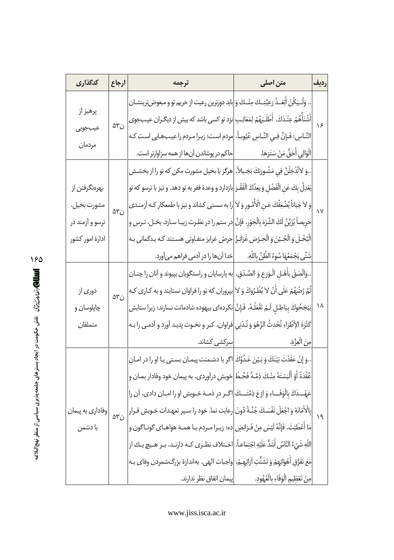|                                                                 | كدگذارى           | ارجاع                 | ترجمه                                                                                                   | متن اصلی                                    | رديف       |
|-----------------------------------------------------------------|-------------------|-----------------------|---------------------------------------------------------------------------------------------------------|---------------------------------------------|------------|
|                                                                 | پرهيز از          | $\Delta \mathbf{r}_i$ | . وَلْـيَكُنْ أَبْعَـدُ رَعِيَّتِـكَ مِنْـكَ وَ بايد دورترين رعيت از حريم تو و مبغوضترينشـان            |                                             | $\sqrt{5}$ |
|                                                                 |                   |                       | أَشْنَأُهُمْ عِنْدَكَ، أَطْلَبَهُمْ لِمَعَائِبِ[نزد تو كسى باشد كه بيش از ديگران عيبجوى                 |                                             |            |
|                                                                 | عيبجويى<br>مردمان |                       | النَّـاس؛ فَـإنَّ فِـي النَّـاس عُيُوبـاً،  مردم است؛ زيـرا مـردم را عيـبـهـايي اسـت كـه                |                                             |            |
|                                                                 |                   |                       | حاكم در پوشاندن آنها از همه سزاوارتر است.                                                               | الْوَالِي أَحَقُّ مَنْ سَتَرَهَا.           |            |
|                                                                 |                   |                       | وَ لاَتُدْخِلَنَّ فِي مَشُـورَتِكَ بَخِـيلاً،  هرگز با بخيل مشورت مكن كه تو را از بخشـش                 |                                             |            |
|                                                                 | بهرەنگرفتن از     |                       | يَعْدِلُ بِكَ عَنِ الْفَضْلِ وَ يَعِدُكَ الْفَقْـرَ  بازدارد و وعدهٔ فقر به تو دهد. و نيز با ترسو كه تو |                                             | $\sqrt{ }$ |
|                                                                 | مشورت بخيل،       | $\Delta \mathbf{r}_i$ | وَ لاَ جَبَاناً يُضْعِفُكَ عَـن الْأُمُّـورِ وَ لاَ را به سستى كشاند و نيز با طمعكار كـه اَزمنـدى       |                                             |            |
|                                                                 | ترسو و آزمند در   |                       | حَرِيصاً يُزَيِّنُ لَكَ الشَّرَهَ بِالْجَوْرِ، فَإِنَّ  در ستم را در نظـرت زيبـا سـازد. بخـل، تـرس و    |                                             |            |
|                                                                 | ادارۂ امور کشور   |                       | الْبُخْلَ وَ الْجُبْنَ وَ الْحِرْصَ غَرَائِزُ  حرصْ غرايز متفاوتى هستند كـه بـدگمانى بـه                |                                             |            |
|                                                                 |                   |                       | خدا آنها را در آدمی فراهم می آورد.                                                                      | شَتَّى يَجْمَعُهَا سُوءُ الظَّنِّ باللَّهِ. |            |
|                                                                 |                   | $\Delta \mathbf{r}_i$ | .وَالْصَقْ بِأَهْـلِ الْـوَرَعِ وَ الصِّـدْقِ،  به پارسایان و راستگویان بپیوند و آنان را چنـان          |                                             |            |
|                                                                 | دوری از           |                       | ثُمَّ رُضْهُمْ عَلَى أَنْ لاَ يُطْرُوكَ وَ لاَ بپروران كه تو را فراوان نستايند و به كـارى كـه           |                                             |            |
|                                                                 | چاپلوسان و        |                       | يَبْجَحُوكَ بِبَاطِلٍ لَـمْ تَفْعَلْـهُ، فَـإِنَّ نكرده ى بيهوده شادمانت نسازند؛ زيرا ستايش             |                                             | ۱۸         |
|                                                                 | متملقان           |                       | كَثْرَةَ الإْطْرَاءِ تُحْدِثُ الزَّهْوَ وَ تُدْنِى فراوان، كبر و نخـوت پديـد آورد و آدمـى را بـه        |                                             |            |
|                                                                 |                   |                       | سرکشے کشاند.                                                                                            | مِنَ الْعِزَّةِ.                            |            |
| نقش حکومت در ایجاد بسترهای جامعه پذیری سیاسی از منظر نهج البلاغ |                   |                       | وَ إنْ عَقَدْتَ بَيْنَكَ وَ بَـيْنَ عَـدُوِّكَ اكر با دشـمنت پيمـان بسـتى يـا او را در امـانِ           |                                             |            |
|                                                                 |                   |                       | عُقْدَةً أَوْ أَلْبَسْتَهُ مِنْكَ ذِمَّـةً فَحُـطْ خويش درآوردى، به پيمان خود وفادار بمـان و            |                                             | $\Delta$   |
|                                                                 |                   |                       | عَهْـــذَكَ بالْوَفَـــاءِ وَ ارْعَ ذِمَّتَـــكَ اگــر در ذمــهْ خــويش او را امــان دادى، آن را        |                                             |            |
|                                                                 | وفاداري به پيمان  | $\Delta \mathbf{r}_i$ | بالْأَمَانَةِ وَ اجْعَلْ نَفْسَكَ جُنَّـةً دُونَ رعايت نما. خود را سـپر تعهـدات خـويش قـرار             |                                             |            |
|                                                                 | با دشمن           |                       | مَا أَعْطَيْتَ، فَإِنَّهُ لَيْسَ مِنْ فَـرَائِضِ ده؛ زيـرا مـردم بـا همـهْ هواهـاى گونـاگون و           |                                             |            |
|                                                                 |                   |                       | اللَّهِ شَيْءٌ النَّاسُ أَشَدُّ عَلَيْهِ اجْتِمَاعاً،  اخـتلاف نظـرى كـه دارنـد، بـر هـيچ يـك از        |                                             |            |
|                                                                 |                   |                       | مَعَ تَفَرُّق أَهْوَائِهمْ وَ تَشَتُّتِ آرَائِهـمْ،  واجبات الهى، بهاندازهٔ بزرگـشمردن وفاى بـه         |                                             |            |
|                                                                 |                   |                       | پیمان اتفاق نظر ندارند.                                                                                 | مِنْ تَعْظِيمِ الْوَفَاءِ بِالْعُهُودِ.     |            |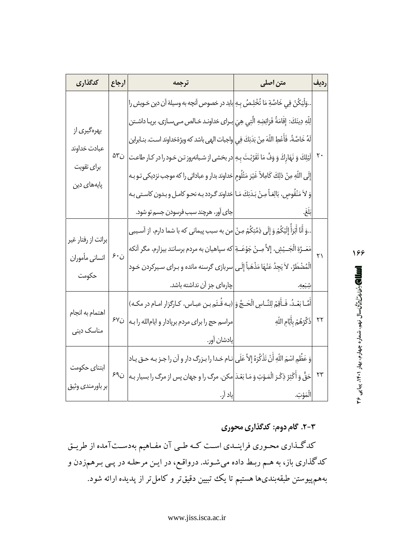| كدگذارى             | ارجاع | ترجمه                                                                                                    | متن اصلی                           | رديف |
|---------------------|-------|----------------------------------------------------------------------------------------------------------|------------------------------------|------|
|                     |       | وَلْيَكُنْ فِي خَاصَّةِ مَا تُخْلِصُ بِهِ <mark>ب</mark> ايد در خصوص آنچه به وسيلهْ آن دين خـويش را      |                                    |      |
|                     |       | لِلّهِ دِينَكَ: إِقَامَةُ فَرَائِضِهِ الَّتِي هِيَ $\bigg $ براى خداونـد خـالص مـىسـازى، برپـا داشـتن    |                                    |      |
| بهرهگیری از         |       | لَهُ خَاصَّةً، فَأَعْطِ اللّهَ مِنْ بَدَنِكَ فِي $\Bigg $ واجبات الهى باشد كه ويژهٔخداوند است. بنـابراين |                                    |      |
| عبادت خداوند        | ن٥٣   | ۲۰  لَيْلِكَ وَ نَهَارِكَ وَ وَفٍّ مَا تَقَرَّبْتَ بِهِ  در بخشى از شبانهروز تـن خـود را در كـار طاعـت   |                                    |      |
| برا <i>ی</i> تقویت  |       | إِلَى اللَّهِ مِنْ ذلِكَ كَامِلاً غَيْرَ مَثْلُومٍ عناداند بدار و عباداتي را كه موجب نزديكي تو بـه       |                                    |      |
| پایەھا <i>ی</i> دین |       | وَ لاَ مَنْقُوصٍ، بَالِغـاً مِـنْ بَـدَنِكَ مَـا $\bigg $ خداوند گـردد بـه نحـو كامـل و بـدون كاسـتى بـه |                                    |      |
|                     |       |                                                                                                          |                                    |      |
|                     |       | وَ أَنَا أَبْرَأُ إِلَيْكُمْ وَ إِلَى ذِمَّتِكُمْ مِنْ مِن به سبب پيماني كه با شما دارم، از آسيبي        |                                    |      |
| برائت از رفتار غير  | ن ۶۰  | مَعَــرَّةِ الْجَــيْشِ، إِلاَّ مِــنْ جَوْعَــةِ  كه سپاهيان به مردم برسانند بيزارم، مگر آنكه<br>۲۱     |                                    |      |
| انساني مأموران      |       | الْمُضْطَرِّ، لاَ يَجِدُ عَنْهَا مَذْهَباً إِلَى $\bigg $ سربازى گرسنه مانده و بـراى سـيركردن خـود       |                                    |      |
| حكومت               |       |                                                                                                          |                                    |      |
|                     |       | أَمَّـا بَعْـدُ، فَـأَقِمْ لِلنَّـاسِ الْحَـجَّ وَ ابـه قُـتَم بـن عبـاس، كـارگزار امـام در مكـه)        |                                    |      |
| اهتمام به انجام     | ن۶۷   | مراسم حج را براي مردم برپادار و ايامالله را بـه                                                          | ٢٢  ذَكِّرْهُمْ بِأَيَّامِ اللَّهِ |      |
| مناسک دین <i>ی</i>  |       | يادشان اَور.                                                                                             |                                    |      |
|                     |       | وَ عَظِّمِ اسْمَ اللَّهِ أَنْ تَذْكُرَهُ إِلاَّ عَلَى مٰاعام خدا را بـزرگ دار و آن را جـز بـه حـق يـاد   |                                    |      |
| ابتناى حكومت        | ن۶۹   | ۲۳  حَقٌّ وَ أَكْثِرْ ذِكْرَ الْمَوْتِ وَ مَا بَعْدَ مكن. مرگ را و جهان پس از مرگ را بسيار بـه           |                                    |      |
| بر باورمندي وثيق    |       | ياد آر.                                                                                                  | الْمَوْتِ.                         |      |

**الللال) رشاند** این که سال نیمه. شماره چهارم. بهار ۱۴۰۱، پیاپی ۲۶

166

# ۰۳-۳. گام دوم: کدگذاری محوری

کدگـذاري محـوري فراينـدي اسـت کـه طـي آن مفـاهيم بهدسـتآمده از طريـق کدگذاری باز، به هـم ربـط داده میشـوند. درواقـع، در ايـن مرحلـه در پـی بـرهمزدن و بههم پیوستن طبقهبندیها هستیم تا یک تبیین دقیقتر و کامل تر از پدیده ارائه شود.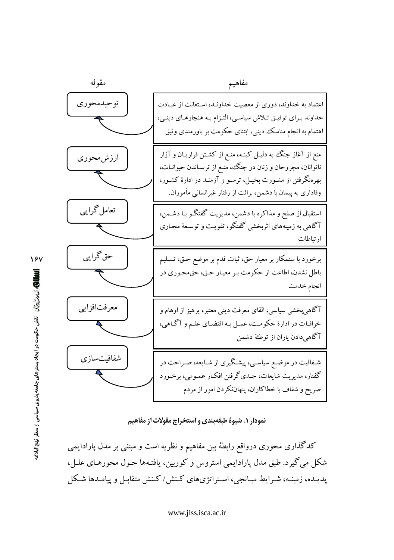

نمودار ۱. شیوهٔ طبقهبندی و استخراج مقولات از مفاهیم

کدگذاری محوری درواقع رابطهٔ بین مفاهیم و نظریه است و مبتنی بر مدل پارادایمی شکل می گیرد. طبق مدل پارادایمی استروس و کوربین، یافتـهها حـول محورهـای علـل، یدیـده، زمینـه، شـرایط میـانجی، اسـتراتژیهای کـنش/کـنش متقابـل و پیامـدها شـکل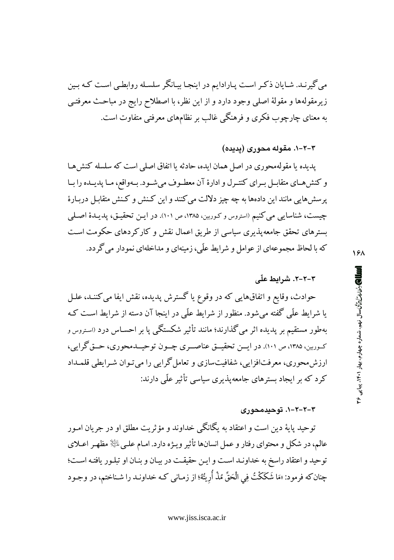می گیرنـد. شـایان ذکـر اسـت پـارادایم در اینجـا بیـانگر سلسـله روابطـی اسـت کـه بـین زيرمقولهها و مقولهٔ اصلي وجود دارد و از اين نظر، با اصطلاح رايج در مباحث معرفتـي به معنای چارچوب فکری و فرهنگی غالب بر نظامهای معرفتی متفاوت است.

۳-۲-۱. مقوله محوری (پدیده)

یدیده یا مقولهمحوری در اصل همان ایده، حادثه یا اتفاق اصلی است که سلسله کنش هـا و كنش هـاي متقابـل بـراي كنتـرل و ادارهٔ آن معطـوف مي شـود. بـهواقع، مـا پديــده را بـا پرسش هایی مانند این دادهها به چه چیز دلالت می کنند و این کـنش و کـنش متقابـل دربـارهٔ چیست، شناسایی می کنیم (استروس و کوربین، ۱۳۸۵، ص ۱۰۱). در ایـن تحقیـق، پدیـدهٔ اصـلی بسترهای تحقق جامعه پذیری سیاسی از طریق اعمال نقش و کارکردهای حکومت است که با لحاظ مجموعهای از عوامل و شرایط علّی، زمینهای و مداخلهای نمودار می گردد.

## ۲-۲-۲. شرایط علّی

حوادث، وقایع و اتفاقهایی که در وقوع یا گسترش پدیده، نقش ایفا می کننـد، علـل یا شرایط علّی گفته می شود. منظور از شرایط علّی در اینجا آن دسته از شرایط است کـه بهطور مستقیم بر پدیده اثر میگذارند؛ مانند تأثیر شکستگی پا بر احسـاس درد ‹اسـتروس و کـورین، ۱۳۸۵، ص ۱۰۱). در ایــن تحقیــق عناصــری چــون توحیــدمحوری، حــق گرایی، ارزش محوري، معرفتافزايي، شفافيتسازي و تعامل گرايي را مي تـوان شـرايطي قلمـداد کر د که بر ایجاد سترهای جامعه پذیری سیاسی تأثیر علّی دارند:

## ۲-۲-۲-۱. توحیدمحوری

توحيد يايهٔ دين است و اعتقاد به يگانگي خداوند و مؤثريت مطلق او در جريان امـور عالم، در شکل و محتوای رفتار و عمل انسانها تأثیر ویـژه دارد. امـام علـی ﷺ مظهـر اعـلای توحيد و اعتقاد راسخ به خداونـد اسـت و ايـن حقيقـت در بيـان و بنـان او تبلـور يافتـه اسـت؛ چنانکه فرمود: «مَا شَکَکْتُ فِی الْحَقِّ مُذْ أُرِيتُهُ؛ از زمـانی کـه خداونـد را شـناختم، در وجـود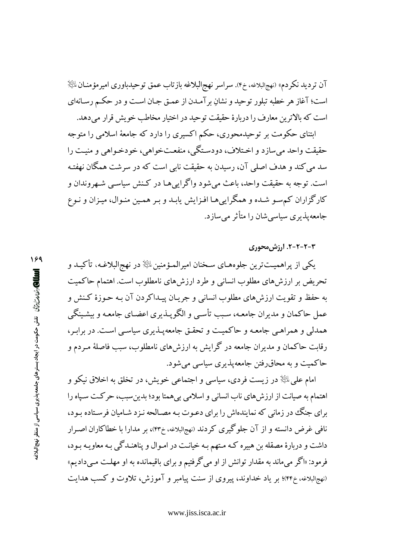آن ترديد نكردم» (نهجالبلاغه، خ۴). سراسر نهجالبلاغه بازتاب عمق توحيدباوري اميرمؤمنــان $\mathbb{P}$ است؛ آغاز هر خطبه تبلور توحید و نشان بر آمـدن از عمـق جـان اسـت و در حکـم رسـانهای است كه بالاترين معارف را دربارهٔ حقيقت توحيد در اختيار مخاطب خويش قرار مى دهد.

ابتنای حکومت بر توحیدمحوری، حکم اکسیری را دارد که جامعهٔ اسلامی را متوجه حقیقت واحد می سازد و اخـتلاف، دودسـتگی، منفعـتخواهی، خودخـواهی و منیـت را سد می کند و هدف اصلی آن، رسیدن به حقیقت نابی است که در سرشت همگان نهفته است. توجه به حقیقت واحد، باعث می شود واگرایی هـا در کـنش سیاسـی شـهروندان و کارگزاران کم سو شده و همگراییها افزایش یابـد و بـر همـین منـوال، میـزان و نـوع جامعهپذیری سیاسی شان را متأثر می سازد.

۳-۲-۲-۲. ارزش،محوری

يکي از پراهميــتترين جلوههـاي سـخنان اميرالمـؤمنين $\mathbb{P}$  در نهج|لبلاغـه، تأکيــد و تحریض بر ارزشهای مطلوب انسانی و طرد ارزشهای نامطلوب است. اهتمام حاکمیت به حفظ و تقويت ارزش هاي مطلوب انساني و جريـان پيـداكردن آن بـه حـوزهٔ كـنش و عمل حاکمان و مدیران جامعـه، سـبـــ تأســ و الگویــذیری اعضــای جامعـه و بیشـینگی همدلی و همراهبی جامعه و حاکمیت و تحقق جامعه پذیری سیاسبی است. در برابر، رقابت حاکمان و مدیران جامعه در گرایش به ارزشهای نامطلوب، سبب فاصلهٔ مـردم و حاکمیت و به محاق رفتن جامعه پذیری سیاسی می شود.

امام علي ﷺ در زيست فردي، سياسي و اجتماعي خويش، در تخلق به اخلاق نيكو و اهتمام به صیانت از ارزش های ناب انسانی و اسلامی بی همتا بود؛ بدین سبب، حرکت سیاه را برای جنگ در زمانی که نمایندهاش را برای دعـوت بـه مصـالحه نـزد شـامیان فرسـتاده بـود، نافی غرض دانسته و از آن جلوگیری کردند (نهجالبلاغه، خ۴۳)، بر مدارا با خطاکاران اصـرار داشت و دربارهٔ مصقله بن هبیره کـه مـتهم بـه خیانـت در امـوال و پناهنـدگی بـه معاویـه بـود، فرمود: «اگر میماند به مقدار توانش از او میگرفتیم و برای باقیمانده به او مهلت مـیدادیم» (نهجالبلاغه، خ۴۴)؛ بر یاد خداوند، پیروی از سنت پیامبر و آموزش، تلاوت و کسب هدایت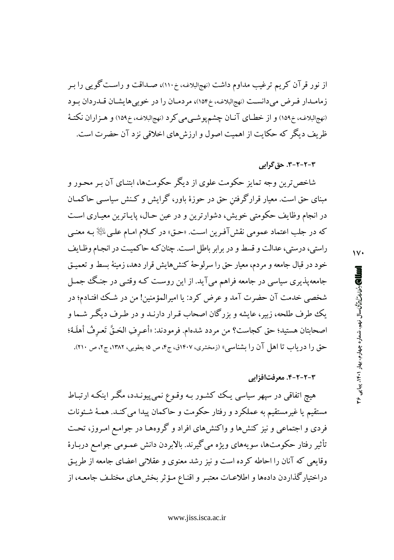از نور قرآن کریم ترغیب مداوم داشت (نهجالبلاغه، خ۱۱۰)، صـداقت و راسـت گویبی را بـر زمامـدار فـرض مىدانسـت (نهجالبلاغـه، خ١٥۴)، مردمـان را در خوبىهايشـان قــدردان بـود (نهجالبلاغـه، خ١۵٩) و از خطـاي آنـان چشم پوشــيمي كرد (نهجالبلاغـه، خ١٥٩) و هــزاران نكتــهٔ ظریف دیگر که حکایت از اهمیت اصول و ارزش های اخلاقی نزد آن حضرت است.

#### ۳-۲-۲-۳. حق گرائی

شاخص ترین وجه تمایز حکومت علوی از دیگر حکومتها، ابتنـای آن بـر محـور و مبنای حق است. معیار قرارگرفتن حق در حوزهٔ باور، گرایش و کـنش سیاسـی حاکمـان در انجام وظایف حکومتی خویش، دشوارترین و در عین حـال، پایـاترین معیـاری اسـت که در جلب اعتماد عمومی نقشآفرین است. «حـق» در کـلام امـام علـیﷺ بـه معنـی راستی، درستی، عدالت و قسط و در برابر باطل است. چنان کـه حاکمیـت در انجـام وظـایف خود در قبال جامعه و مردم، معیار حق را سرلوحهٔ کنشهایش قرار دهد، زمینهٔ بسط و تعمیـق جامعهپذیری سیاسی در جامعه فراهم میآید. از این روست کـه وقتـی در جنـگ جمـل شخصی خدمت آن حضرت آمد و عرض کرد: یا امیرالمؤمنین! من در شک افتـادم؛ در يک طرف طلحه، زبير، عايشه و بزرگان اصحاب قـرار دارنـد و در طـرف ديگـر شـما و اصحابتان هستيد؛ حق كجاست؟ من مردد شدهام. فرمودند: «أعـرفِ الحَـقَّ تَعـرفُ أهلَـهُ؛ حق را دریاب تا اهل آن را بشناسبی» (زمخشری، ۱۴۰۷ق، ج۴، ص ۵؛ یعقوبی، ۱۳۸۲، ج۲، ص ۲۱۰).

#### ٣-٢-٢-۴. معرفتافزاتي

هیچ اتفاقی در سپهر سیاسی یـک کشـور بـه وقـوع نمـی،پیونـدد، مگـر اینکـه ارتبـاط مستقیم یا غیرمستقیم به عملکرد و رفتار حکومت و حاکمان پیدا می کنـد. همـهٔ شـئونات فردی و اجتماعی و نیز کنشها و واکنشهای افراد و گروههـا در جوامـع امـروز، تحـت تأثير رفتار حکومتها، سويههاي ويژه مي گيرند. بالابردن دانش عمـومي جوامـع دربـارهٔ وقایعی که آنان را احاطه کرده است و نیز رشد معنوی و عقلانی اعضای جامعه از طریـق دراختیارگذاردن دادهها و اطلاعـات معتبـر و اقنـاع مـؤثر بخشهـای مختلـف جامعـه، از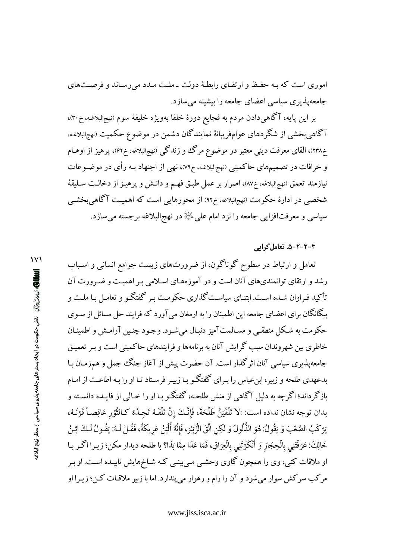اموری است که بـه حفـظ و ارتقـای رابطـهٔ دولت ـ ملـت مـدد می رسـاند و فرصـتهای جامعه پذیری سیاسی اعضای جامعه را بیشینه می سازد.

بر اين پايه، آگاهي دادن مردم به فجايع دورهٔ خلفا بهويژه خليفهٔ سوم (نهجالبلاغـه، خ٣٠)، آگاهی بخشی از شگردهای عوامفریبانهٔ نمایندگان دشمن در موضوع حکمیت (نهجالبلاغه، خ۲۳۸)، القای معرفت دینی معتبر در موضوع مرگ وو زندگی (نهجالبلاغه، خ۶۲)، پرهیز از اوهـام و خرافات در تصمیمهای حاکمیتی (نهجالبلاغه، خ۷۹)، نهی از اجتهاد بـه رأی در موضـوعات نيازمند تعمق (نهجالبلاغه، خ٨٧)، اصرار بر عمل طبق فهم و دانـش و پرهيـز از دخالـت سـليقة شخصی در ادارهٔ حکومت (نهجالبلاغه، خ۹۲) از محورهایی است که اهمیـت آگاهیبخشـی سیاسی و معرفتافزایی جامعه را نزد امام علیﷺ در نهجالبلاغه برجسته میسازد.

#### ۳-۲-۲-۵. تعامل گرایی

تعامل و ارتباط در سطوح گوناگون، از ضرورتهای زیست جوامع انسانی و اسـباب رشد و ارتقای توانمندیهای آنان است و در آموزههـای اسـلامی بـر اهمیـت و ضـرورت آن تأکید فـراوان شـده اسـت. ابتنـای سیاسـت گذاری حکومـت بـر گفتگـو و تعامـل بـا ملـت و بیگانگان برای اعضای جامعه این اطمینان را به ارمغان می آورد که فرایند حل مسائل از سـوی حکومت به شکل منطقبی و مسـالمتآمیز دنبـال می شـود. وجـود چنـین آرامـش و اطمینـان خاطری بین شهروندان سبب گرایش آنان به برنامهها و فرایندهای حاکمیتی است و بـر تعمیـق جامعه پذیری سیاسی آنان اثر گذار است. آن حضرت پیش از آغاز جنگ جمل و همزمـان بـا بدعهدی طلحه و زیبر، ابن عباس را بـرای گفتگـو بـا زیبـر فرسـتاد تـا او را بـه اطاعـت از امـام بازگر داند؛ اگر چه به دلیل آگاهی از منش طلحـه، گفتگـو بـا او را خـالی از فایـده دانسـته و بدان توجه نشان نداده است: «لاَ تَلْقَيَنَّ طَلْحَةَ، فَإِنَّكَ إِنْ تَلْقَـهُ تَجِـدْهُ كِالنَّوْرِ عَاقِصـاً قَرْنَـهُ، يَرْكَبُ الصَّعْبَ وَ يَقُولُ: هُوَ الذَّلُولُ وَ لكِنِ الْقَ الزُّبَيْرَ، فَإِنَّهُ أَلْيَنُ عَرِيكَةً، فَقُـلْ لَـهُ: يَقُـولُ لَـكَ ابْـنُ خَالِكَ: عَرَفْتَنِي بِالْحِجَازِ وَ أَنْكَرْتَنِي بِالْعِرَاقِ، فَمَا عَدَا مِمَّا بَدَا؟ با طلحه ديدار مكن؛ زيـرا اگـر بـا او ملاقات کنی، وی را همچون گاوی وحشبی مبی نیی که شـاخهایش تابیـده اسـت. او بـر مرکب سرکش سوار میشود و آن را رام و رهوار میپندارد. اما با زبیر ملاقات کن؛ زیـرا او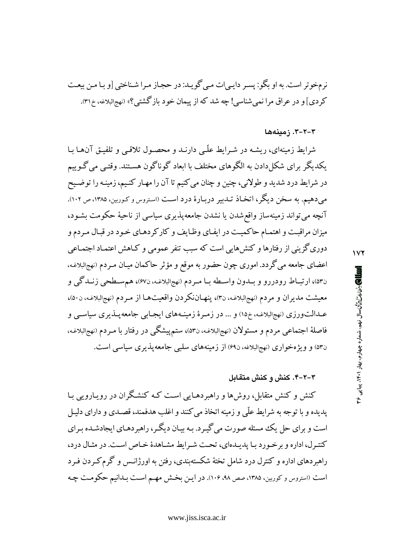نرمخوتر است. به او بگو: پسر دایبی ات مبی گویـد: در حجـاز مـرا شـناختی [و بـا مـن بیعـت کردی] و در عراق مرا نمی شناسی! چه شد که از پیمان خود بازگشتی؟» (نهجالبلاغه، خ۳۱).

٣-٢-٣. زمينهها

شرایط زمینهای، ریشه در شیرایط علّبی دارنید و محصول تلاقبی و تلفیق آنها با یکدیگر برای شکل دادن به الگوهای مختلف با ابعاد گوناگون هستند. وقتبی می گـوییم در شرایط درد شدید و طولانی، چنین و چنان می کنیم تا آن را مهـار کنـیم، زمینـه را توضـیح می دهیم. به سخن دیگر، اتخـاذ تـدبیر دربـارهٔ درد اسـت (اسـتروس و کـوربین، ۱۳۸۵، ص ۱۰۲). آنچه میتواند زمینهساز واقع شدن یا نشدن جامعهپذیری سیاسی از ناحیهٔ حکومت بشـود، میزان مراقبت و اهتمـام حاکمیـت در ایفـای وظـایف و کارکردهـای خـود در قبـال مـردم و دوری گزینی از رفتارها و کنش۱هایی است که سبب تنفر عمومی و کـاهش اعتمـاد اجتمـاعی اعضای جامعه می گردد. اموری چون حضور به موقع و مؤثر حاکمان میـان مـردم (نهجالبلاغـه، ن۵۳)، ارتبـاط رودررو و بــدون واســطه بــا مــردم (نهجالبلاغـه، ن۶۷)، هم ســطحي زنــدگي و معیشت مدیران و مردم (نهجالبلاغـه، ن۳)، پنهـاننکردن واقعیتهـا از مـردم (نهجالبلاغـه، ن۵۰)، عــدالتورزي (نهجالبلاغـه، خ١٥) و ... در زمـرهٔ زمینـههاي ايجـابي جامعهيــذيري سياســي و فاصلهٔ اجتماعی مردم و مسئولان (نهجالبلاغه، ن۵۳)، ستمپیشگی در رفتار با مـردم (نهجالبلاغـه، ن۵۳) و ویژهخواری (نهجالبلاغه،ن۶۹) از زمینههای سلبی جامعهپذیری سیاسی است.

### ۳-۲-۴. کنش و کنش متقابل

کنش و کنش متقابل، روشها و راهبردهـایی اسـت کـه کنشـگران در رویـارویی بـا پدیده و با توجه به شرایط علّی و زمینه اتخاذ می کنند و اغلب هدفمند، قصـدی و دارای دلیـل است و برای حل یک مسئله صورت می گیـرد. بـه بیـان دیگـر، راهبردهـای ایجادشـده بـرای کنترل، اداره و بر خورد با پدیدهای، تحت شرایط مشاهدهٔ خاص است. در مثال درد، راهبردهای اداره و کنترل درد شامل تختهٔ شکستهبندی، رفتن به اورژانـس و گرم کـردن فـرد است (استروس و کوربین، ۱۳۸۵، صص ۹۸، ۱۰۶). در ایـن بخـش مهـم اسـت بـدانیم حکومـت چـه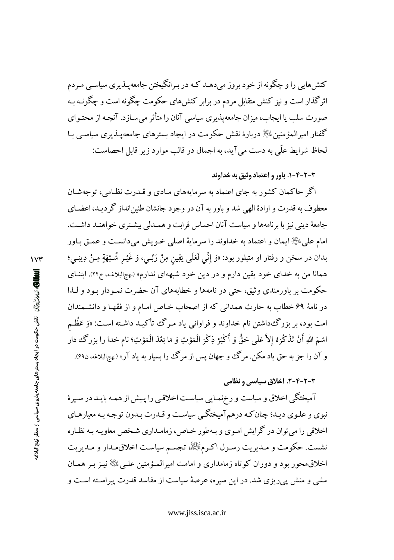کنش هایی را و چگونه از خود بروز می دهـد کـه در بـرانگیختن جامعه پــذیری سیاســی مـردم اثرگذار است و نیز کنش متقابل مردم در برابر کنش های حکومت چگونه است و چگونـه سه صورت سلب یا ایجاب، میزان جامعه پذیری سیاسی آنان را متأثر می سـازد. آنچـه از محتـوای گفتار امیرالمؤمنین ﷺ دربارۂ نقش حکومت در ایجاد بسترهای جامعه پــٰذیری سیاســی بــا لحاظ شرايط علّى به دست مي آيد، به اجمال در قالب موارد زير قابل احصاست:

۰-۲-۳-۲. باور و اعتماد وثیق به خداوند

اگر حاکمان کشور به جای اعتماد به سرمایههای مـادی و قـدرت نظـامی، توجهشـان معطوف به قدرت و ارادهٔ الهی شد و باور به آن در وجود جانشان طنین انداز گر دیـد، اعضـای جامعهٔ دینی نیز با برنامهها و سیاست آنان احساس قرابت و همـدلی بیشـتری خواهنـد داشـت. امام على ﷺ ايمان و اعتماد به خداوند را سرمايهٔ اصلي خـويش مىدانسـت و عمـق بـاور بدان در سخن و رفتار او متبلور بود: «وَ إِنِّي لَعَلَى يَقِين مِنْ رَبِّـي، وَ غَيْـر شُـبْهَةٍ مِـنْ دِينِـي؛ همانا من به خدای خود یقین دارم و در دین خود شبههای ندارم» (نهجالبلاغـه، خ۲۲). ابتنـای حکومت بر باورمندی وثبتی، حتی در نامهها و خطابههای آن حضرت نمـودار بـود و لـذا در نامهٔ ۶۹ خطاب به حارث همدانی که از اصحاب خـاص امـام و از فقهـا و دانشـمندان امت بود، بر بزرگ٥داشتن نام خداوند و فراوانی یاد مـرگ تأکیـد داشـته اسـت: «وَ عَظُّـم اسْمَ اللهِ أَنْ تَذْكُرَهُ إِلاَّ عَلَى حَقٌّ وَ أَكْثِرْ ذِكْرَ الْمَوْتِ وَ مَا بَعْدَ الْمَوْتِ؛ نام خدا را بزرگ دار و آن را جز به حق یاد مکن. مرگ و جهان پس از مرگ را بسیار به یاد آر» (نهجالبلاغه، ن۶۹).

## ۳-۲-۴-۲. اخلاق سیاسی و نظامی

آمیختگی اخلاق و سیاست و رخزنمـایی سیاسـت اخلاقـی را پـیش از همـه بایـد در سـیرهٔ نبوي و علـوي ديـد؛ چنان كـه درهم آميختگـي سياسـت و قـدرت بـدون توجـه بـه معيارهـاي اخلاقی را می توان در گرایش امـوی و بـهطور خـاص، زمامـداری شـخص معاویـه بـه نظـاره نشست. حکومت و مـديريت رسـول اکـرمﷺ، تجسـم سياسـت اخلاقىمـدار و مـديريت اخلاق،محور بود و دوران کوتاه زمامداری و امامت امیرالمـؤمنین علـی ﷺ نیـز بـر همـان مشی و منش پیریزی شد. در این سیره، عرصهٔ سیاست از مفاسد قدرت پیراسته است و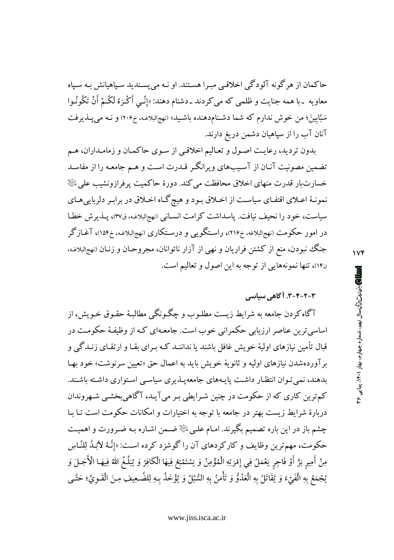حاکمان از هرگونه آلودگی اخلاقیی مبـرا هسـتند. او نـه میپسـندید سـپاهیانش بـه سـپاه معاويه <sub>-</sub> با همه جنايت و ظلمي كه مي كردند ـ دشنام دهند: «إنِّـي أَكْـرَهُ لَكُـمْ أَنْ تَكُونُـوا سَبَّابِینَ؛ من خوش ندارم که شما دشـنامدهنده باشـید» (نهجالبلاغـه، خ۲۰۶) و نـه میپبـذیرفت آنان آب را از سپاهیان دشمن دریغ دارند.

بدون تردید، رعایت اصول و تعالیم اخلاقیی از سوی حاکمان و زمامداران، هم تضمین مصونیت آنـان از آسـیبهای ویرانگـر قـدرت اسـت و هـم جامعـه را از مفاسـد خسارت بار قدرت منهای اخلاق محافظت می کند. دورهٔ حاکمیت پرفرازونشیب علی  $\mathbb{R}^{\mathbb{K}}$ نمونـهٔ اعـلای اقتفـای سیاسـت از اخـلاق بـود و هیچ گـاه اخـلاق در برابـر دلرباییهـای سیاست، خود را نحیف نیافت. پاسداشت کرامت انسـانی (نهجالبلاغـه، ق٣٧)، پــذیرش خطـا در امور حکومت (نهجالبلاغه، خ۱۱۶)، راسـتگویبی و درسـتکاری (نهجالبلاغـه، خ۱۵۴)، آغــازگر جنگ نبودن، منع از کشتن فراریان و نهی از آزار ناتوانان، مجروحـان و زنـان (نهجالبلاغـه، ن۱۴)، تنها نمونههایی از توجه به این اصول و تعالیم است.

# ۳-۲-۴-۳. آگاهی سیاسی

آگاه کردن جامعه به شرایط زیست مطلـوب و چگـونگـی مطالبـهٔ حقـوق خـویش، از اساسی ترین عناصر ارزیابی حکمرانی خوب است. جامعـهای کـه از وظیفـهٔ حکومـت در قبال تأمین نیازهای اولیهٔ خویش غافل باشند یا نداننـد کـه بـرای بقـا و ارتقـای زنـدگی و بر آوردهشدن نیازهای اولیه و ثانویهٔ خویش باید به اعمال حق «تعیین سرنوشت» خود بهـا بدهند، نمی تـوان انتظـار داشـت پایـههای جامعهیـذیری سیاسـی اسـتواری داشـته باشـند. کم ترین کاری که از حکومت در چنین شـرایطی بـر می آیـد، آگاهیبخشـی شـهروندان دربارهٔ شرایط زیست بهتر در جامعه با توجه به اختیارات و امکانات حکومت است تـا بـا چشم باز در این باره تصمیم بگیرند. امـام علـی اللهٔ ضـمن اشـاره بـه ضـرورت و اهمیـت حکومت، مهمترین وظایف و کارکردهای آن را گوشزد کرده است: «إِنَّـهُ لاَبُـدَّ لِلنَّـاسِ مِنْ أَمِيرٍ بَرٍّ أَوْ فَاحِرٍ يَعْمَلُ فِي إِمْرَتِهِ الْمُؤْمِنُ وَ يَسْتَمْتِعُ فِيهَا الْكَافِرُ وَ يُبَلَّغُ الله فِيهَـا الْأَجَـلَ وَ يُجْمَعُ بِهِ الْفَيْءُ وَ يُقَاتَلُ بِهِ الْعَدُوُّ وَ تَأْمَنُ بِهِ السُّبُلُ وَ يُؤْخَذُ بِهِ لِلضَّحِيفِ مِنَ الْقَـويِّ؛ حَتَّـى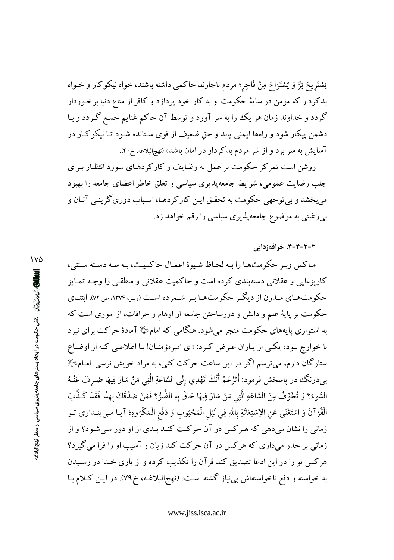يَسْتَريحَ بَرٌّ وَ يُسْتَرَاحَ مِنْ فَاجِر؛ مردم ناچارند حاكمي داشته باشند، خواه نيكوكار و خـواه بدکردار که مؤمن در سایهٔ حکومت او به کار خود پردازد و کافر از متاع دنیا برخوردار گردد و خداوند زمان هر یک را به سر آورد و توسط آن حاکم غنایم جمع گردد و بـا دشمن پیکار شود و راهها ایمنی پابد و حق ضعیف از قوی سـتانده شـود تـا نیکوکـار در آسایش به سر برد و از شر مردم بدکردار در امان باشد» (نهج البلاغه، خ۴۰).

روشن است تمرکز حکومت بر عمل به وظـایف و کارکردهـای مـورد انتظـار بـرای جلب رضایت عمومی، شرایط جامعهپذیری سیاسی و تعلق خاطر اعضای جامعه را بهبود میبخشد و بی توجهی حکومت به تحقـق ایـن کارکردهـا، اسـباب دوری گزینـی آنـان و بپررغبتی به موضوع جامعهپذیری سیاسی را رقم خواهد زد.

۴-۲-۴-۴. خرافهزدایی

ماکس ویبر حکومتها را به لحاظ شیوهٔ اعمال حاکمیت، به سه دستهٔ سنتی، کاریزمایی و عقلانی دستهبندی کرده است و حاکمیت عقلانی و منطقبی را وجـه تمـایز حکومتهای مـدرن از دیگـر حکومتهـا بـر شـمرده اسـت (وبـر، ۱۳۷۴، ص ۷۲). ابتنـای حکومت بر پایهٔ علم و دانش و دورساختن جامعه از اوهام و خرافات، از اموری است که به استواری پایههای حکومت منجر میشود. هنگامی که امامﷺ آمادهٔ حرکت برای نبرد با خوارج بـود، یکـی از یـاران عـرض کـرد: «ای امیرمؤمنـان! بـا اطلاعـی کـه از اوضـاع ستارگان دارم، می ترسم اگر در این ساعت حرکت کنی، به مراد خویش نرسی. امـام الله ا بيدرنگ در پاسخش فرمود: أَتَزْعَمُ أَنَّكَ تَهْدِي إِلَى السَّاعَةِ الَّتِي مَنْ سَارَ فِيهَا صُـرِفَ عَنْـهُ السُّوءُ؟ وَ تُخَوِّفُ مِنَ السَّاعَةِ الَّتِي مَنْ سَارَ فِيهَا حَاقَ بِهِ الضُّرُّ؟ فَمَنْ صَدَّقَكَ بهذَا فَقَدْ كَـذَّبَ الْقُرْآنَ وَ اسْتَغْنَى عَنِ الِاسْتِعَانَةِ بِاللهِ فِي نَيْلِ الْمَحْبُوبِ وَ دَفْعِ الْمَكْرُوهِ؛ آيـا مـى پنـىدارى تـو زمانی را نشان می دهی که هـر کس در آن حرکت کنـد بـدی از او دور مـی شـود؟ و از زمانی بر حذر میداری که هرکس در آن حرکت کند زیان و آسیب او را فرا می گیرد؟ هرکس تو را در این ادعا تصدیق کند قرآن را تکذیب کرده و از یاری خـدا در رسـیدن به خواسته و دفع ناخواستهاش بی نیاز گشته است» (نهجالبلاغـه، خ۷۹). در ایـن کـلام بـا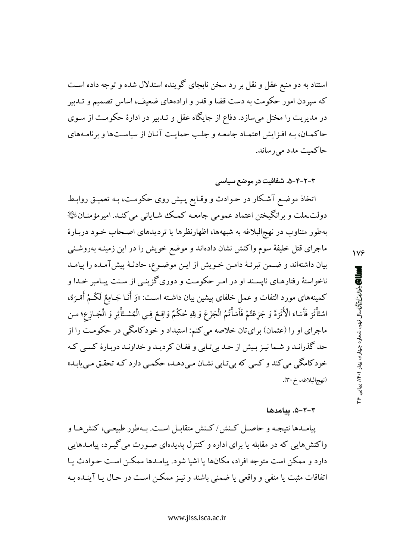استناد به دو منبع عقل و نقل بر رد سخن نابجای گوینده استدلال شده و توجه داده است که سپردن امور حکومت به دست قضا و قدر و ارادههای ضعیف، اساس تصمیم و تـدبیر در مدیریت را مختل میسازد. دفاع از جایگاه عقل و تـدبیر در ادارهٔ حکومـت از سـوی حاکمـان، بـه افـزايش اعتمـاد جامعـه و جلـب حمايـت آنـان از سياسـتها و برنامـههاي حاکمت مدد می رساند.

۴-۲-۳-۵. شفافیت در موضع سیاس*ی* 

اتخاذ موضع آشکار در حـوادث و وقـايع پـيش روى حکومـت، بـه تعميـق روابـط دولت ملت و برانگیختن اعتماد عمومی جامعـه کـمـک شـایانی می کنـد. امیرمؤمنـان $\mathbb{P}$ بهطور متناوب در نهجالبلاغه به شبههها، اظهارنظرها یا تردیدهای اصـحاب خـود دربـارهٔ ماجرای قتل خلیفهٔ سوم واکنش نشان دادهاند و موضع خویش را در این زمینـه بهروشـنـی بيان داشتهاند و ضمن تبرئـهٔ دامـن خـويش از ايـن موضـوع، حادثـهٔ پيشآمـده را پيامـد ناخواستهٔ رفتارهـای نایسـند او در امـر حکومـت و دوریگزینـی از سـنت پیـامبر خـدا و كمينههاي مورد التفات و عمل خلفاي پيشين بيان داشـته اسـت: «وَ أَنَـا جَـامِعٌ لَكُـمْ أَمْـرَهُ، اسْتَأْثَرَ فَأَسَاءَ الْأَثَرَةَ وَ جَزِعْتُمْ فَأَسَأْتُمُ الْجَزَعَ وَ لِلهِ حُكْمٌ وَاقِعٌ فِـى الْمُسْتَأْثِرِ وَ الْجَـازِع؛ مـن ماجرای او را (عثمان) برای تان خلاصه می کنم: استبداد و خودکامگی در حکومت را از حد گذرانـد و شـما نيـز بـيش از حـد بيتـابي و فغـان كرديـد و خداونـد دربـارهٔ كسـي كـه خو د کامگی می کند و کسی که بی تـابی نشـان مـی دهـد، حکمـی دارد کـه تحقـق مـی یابـد» (نهج البلاغه، خ ٣٠).

#### ۲-۲-۵. پیامدها

پیامـدها نتیجـه و حاصـل كـنش/كـنش متقابـل اسـت. بـهطور طبیعـي، كنشهـا و واکنشهایی که در مقابله یا برای اداره و کنترل پدیدهای صـورت می گیـرد، پیامـدهایی دارد و ممکن است متوجه افراد، مکانها یا اشیا شود. پیامـدها ممکـن اسـت حـوادث یـا اتفاقات مثبت یا منفی و واقعی یا ضمنی باشند و نیـز ممکـن اسـت در حـال یـا آینـده بـه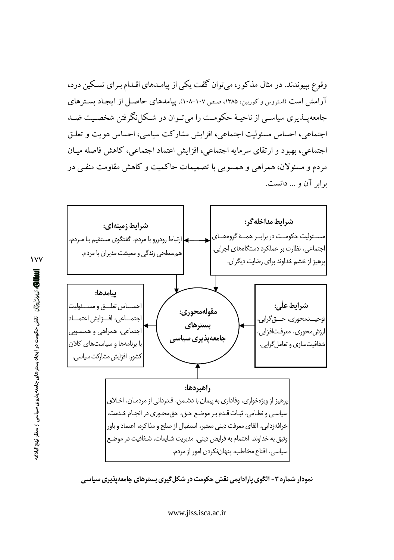وقوع بپیوندند. در مثال مذکور، میتوان گفت یکی از پیامـدهای اقـدام بـرای تسـکین درد، آرامش است (استروس و کوربین، ۱۳۸۵، صص ۱۰۷-۱۰۸). پیامدهای حاصل از ایجاد بستر های جامعه پـــذیری سیاســی از ناحیــهٔ حکومــت را می تــوان در شــکل نگرفتن شخصــیت ضــد اجتماعي، احساس مسئوليت اجتماعي، افزايش مشاركت سياسي، احساس هويت و تعلـق اجتماعي، بهبود و ارتقاى سرمايه اجتماعي، افزايش اعتماد اجتماعي، كاهش فاصله ميـان مردم و مسئولان، همراهی و همسویی با تصمیمات حاکمیت و کاهش مقاومت منفے ٍ در برابر آن و ... دانست.



نمودار شماره ۳- الگوی پارادایمی نقش حکومت در شکل گیری بسترهای جامعهپذیری سیاسی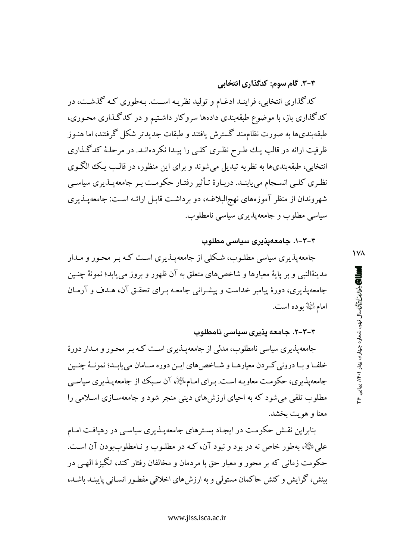## ۳-۳. گام سوم: کدگذاری انتخابی

کدگذاری انتخابی، فراینـد ادغـام و تولید نظریـه اســت. بـهطوری کـه گذشـت، در کدگذاری باز، با موضوع طبقهبندی دادهها سروکار داشتیم و در کدگذاری محوری، طبقهبندیها به صورت نظامهند گسترش یافتند و طبقات جدیدتر شکل گرفتند، اما هنـوز ظرفیت ارائه در قالب یـك طـرح نظـرى كلـى را پیـدا نكردهانـد. در مرحلـهٔ كدگـذارى انتخابي، طبقهبنديها به نظريه تبديل مي شوند و براي اين منظور، در قالب يـك الگـوي نظـري كلـي انســجام ميbيابنـد. دربـارهٔ تـأثير رفتـار حكومـت بـر جامعهپـذيري سياسـي شهروندان از منظر آموزههای نهج البلاغـه، دو برداشـت قابـل ارائـه اسـت: جامعهپـذیری سیاسی مطلوب و جامعهیذیری سیاسی نامطلوب.

#### ۳-۳-۱. جامعهیذیری سیاسی مطلوب

جامعهپذیری سیاسی مطلـوب، شـکلی از جامعهپـذیری اسـت کـه بـر محـور و مـدار مدينةالنبي و بر يايهٔ معيارها و شاخصهاي متعلق به آن ظهور و بروز مي يابد؛ نمونهٔ چنـين جامعهپذیری، دورهٔ پیامبر خداست و پیشـرانی جامعـه بـرای تحقـق آن، هـدف و آرمـان امامﷺ بوده است.

## ۳-۳-۲. جامعه یذیری سیاسی نامطلوب

جامعه پذیری سیاسی نامطلوب، مدلمی از جامعه پــذیری اسـت کـه بـر محـور و مــدار دورهٔ خلفـا و بـا دروني كـردن معيارهـا و شـاخص هاي ايـن دوره سـامان مي يابـد؛ نمونـهٔ چنـين جامعه پذیری، حکومت معاویـه اسـت. بـرای امـام الخِّلْهِ، آن سـبک از جامعه پـذیری سیاسـی مطلوب تلقی میشود که به احیای ارزشهای دینی منجر شود و جامعهسازی اسلامی را معنا و هو يت بخشد.

بنابراین نقش حکومت در ایجاد بسترهای جامعهپذیری سیاسی در رهیافت امـام علي ﷺ، بهطور خاص نه در بود و نبود آن، کـه در مطلـوب و نـامطلوببودن آن اسـت. حکومت زمانی که بر محور و معیار حق با مردمان و مخالفان رفتار کند، انگیزهٔ الهبی در بینش، گرایش و کنش حاکمان مستولی و به ارزش های اخلاقی مفطور انسـانی پایبنـد باشـد، **IVA**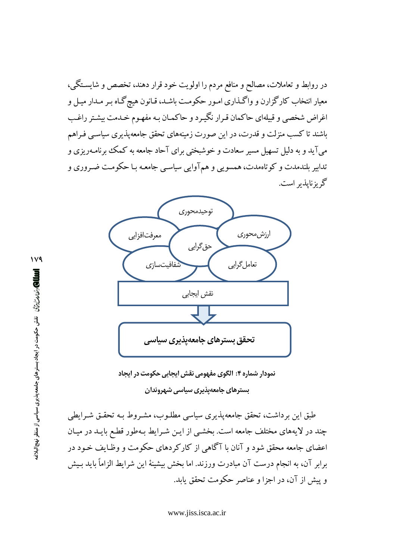در روابط و تعاملات، مصالح و منافع مردم را اولویت خود قرار دهند، تخصص و شایسـتگی، معیار انتخاب کارگزارن و واگـذاری امـور حکومـت باشـد، قـانون هیچگـاه بـر مـدار میـل و اغراض شخصی و قبیلهای حاکمان قـرار نگیـرد و حاکمـان بـه مفهـوم خـدمت بیشـتر راغـب باشند تا کسب منزلت و قدرت، در این صورت زمینههای تحقق جامعهپذیری سیاسبی فـراهم میآید و به دلیل تسهیل مسیر سعادت و خوشبختی برای آحاد جامعه به کمک برنامـهریزی و تدابیر بلندمدت و کوتاهمدت، همسویی و همآوایی سیاسیی جامعـه بـا حکومـت ضـروری و گریزنایذیر است.



نمودار شماره ۴: الگوی مفهومی نقش ایجابی حکومت در ایجاد بسترهای جامعهپذیری سیاسی شهروندان

طبق این برداشت، تحقق جامعهپذیری سیاسی مطلـوب، مشـروط بـه تحقـق شـرایطی چند در لایههای مختلف جامعه است. بخشـی از ایـن شـرایط بـهطور قطـع بایـد در میـان اعضای جامعه محقق شود و آنان با آگاهی از کارکردهای حکومت و وظـایف خـود در برابر آن، به انجام درست آن مبادرت ورزند. اما بخش بیشینهٔ این شرایط الزاماً باید بـیش و پیش از آن، در اجزا و عناصر حکومت تحقق پابد.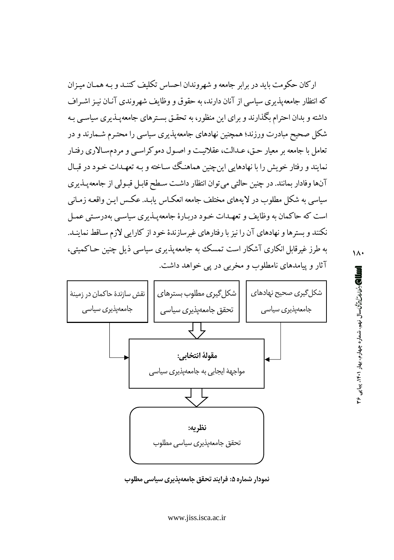ار کان حکومت باید در برابر جامعه و شهروندان احساس تکلیف کننـد و بـه همـان میـزان که انتظار جامعه پذیری سیاسی از آنان دارند، به حقوق و وظایف شهروندی آنیان نیـز اشـراف داشته و بدان احترام بگذارند و برای این منظور، به تحقـق بسـترهای جامعهپـذیری سیاسـی بـه شکل صحیح مبادرت ورزند؛ همچنین نهادهای جامعهیذیری سیاسی را محتـرم شـمارند و در تعامل با جامعه بر معیار حـق، عــدالت، عقلانیــت و اصـول دموکراسـی و مردمسـالاری رفتـار نمایند و رفتار خویش را با نهادهایی این چنین هماهنگ ساخته و بـه تعهـدات خـود در قبـال آنها وفادار بمانند. در چنین حالتی می توان انتظار داشت سطح قابـل قبـولی از جامعهپـذیری سیاسی به شکل مطلوب در لایههای مختلف جامعه انعکـاس یابـد. عکـس ایـن واقعـه زمـانی است که حاکمان به وظایف و تعهـدات خـود دربـارهٔ جامعهپـذیری سیاسـی بهدرسـتی عمـل نکنند و بسترها و نهادهای آن را نیز با رفتارهای غیرسازندهٔ خود از کارایی لازم سـاقط نماینــد. به طرز غیرقابل انکاری آشکار است تمسک به جامعهپذیری سیاسی ذیل چنین حـاکمیتی، آثار و پیامدهای نامطلوب و مخربی در پی خواهد داشت.



نمودار شماره ۵: فرایند تحقق جامعهیذیری سیاس*ی* مطلوب

www.jiss.isca.ac.ir

## $\lambda$

**الله الكارشان شارا برای اسال زیمیه، شماره چهارم، بهار ۱۴۰۱، پیاپی ۴۶**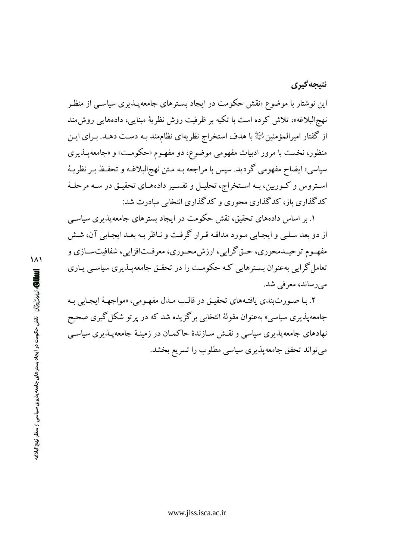## نتيجه گيري

این نوشتار با موضوع «نقش حکومت در ایجاد بسـترهای جامعهپـذیری سیاسـم از منظـر نهج البلاغه»، تلاش کرده است با تکیه بر ظرفیت روش نظریهٔ مبنایی، دادههایی روش مند از گفتار امیرالمؤمنین ﷺ با هدف استخراج نظریهای نظاممند بـه دسـت دهـد. بـرای ایـن منظور، نخست با مرور ادبیات مفهومی موضوع، دو مفهـوم «حکومـت» و «جامعهپـذیری سياسي» ايضاح مفهومي گرديد. سپس با مراجعه بـه مـتن نهجالبلاغـه و تحفـظ بـر نظريـهٔ استروس و کـوربین، بـه اسـتخراج، تحليـل و تفسـير دادههـاي تحقيـق در سـه مرحلـهٔ کدگذاری باز، کدگذاری محوری و کدگذاری انتخابی مبادرت شد:

۱. بر اساس دادههای تحقیق، نقش حکومت در ایجاد بسترهای جامعه پذیری سیاسبی از دو بعد سلبي و ايجـابي مـورد مداقـه قـرار گرفـت و نـاظر بـه بعـد ايجـابي آن، شـش مفهـوم توحیـدمحوري، حـق گرايي، ارزش.محـوري، معرفـتافزايي، شفافيت،سـازي و تعامل گرایی بهعنوان بسترهایی کـه حکومـت را در تحقـق جامعهیـذیری سیاسـی پـاری مے رساند، معرفی شد.

۲. بـا صـورتبندي يافتـههاي تحقيـق در قالـب مـدل مفهـومي، «مواجهـهٔ ايجـابي بـه جامعه یذیری سیاسی» بهعنوان مقولهٔ انتخابی برگزیده شد که در پرتو شکل گیری صحیح نهادهای جامعهیذیری سیاسی و نقـش سـازندهٔ حاکمـان در زمینـهٔ جامعهیـذیری سیاسـی می تواند تحقق جامعهپذیری سیاسی مطلوب را تسریع بخشد.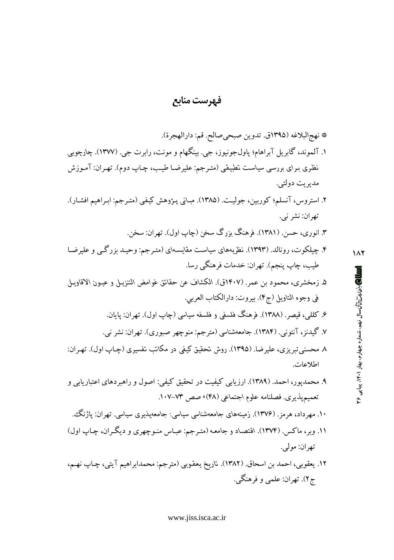## فهرست منابع

- \* نهج البلاغه (١٣٩٥ق. تدوين صبحي صالح. قم: دارالهجرة). ۱. آلموند، گابريل آبراهام؛ پاول\$جونيوز، جي. بينگهام و مونت، رابرت جي. (۱۳۷۷). چارچوبي نظری بـرای بررسی سیاسـت تطبیقی (متـرجم: علیرضـا طیـب، چـاپ دوم). تهـران: آمـوزش مديريت دولتي. ٢. استروس، آنسلم؛ كوربين، جوليت. (١٣٨٥). مباني پـژوهش كيفي (متـرجم: ابـراهيم افشـار). تهران: نشر ني. ٣. انوري، حسن (١٣٨١). فرهنگ يزرگ سخن (چاپ اول). تهران: سخن. ۴. چیلکوت، رونالد. (۱۳۹۳). نظریههای سیاست مقایسهای (متـرجم: وحیـد بزرگـی و علیرضـا طيب، چاپ ينجم). تهران: خدمات فرهنگي رسا. ۵. زمخشري، محمود بن عمر. (۱۴۰۷ق). الكشاف عن حقائق غوامض التنزيـل و عيـون الاقاويـل في وجوه التاويل (ج۴). بيروت: دارالكتاب العربي. ۶. کللم <sub>،</sub>، قیصر . (۱۳۸۸). فرهنگ فلسفی و فلسفه سیاسی (چاپ اول). تهران: پایان. ۷. گیدنز، آنتونی. (۱۳۸۴). جامعهشناسی (مترجم: منوچهر صبوری). تهران: نشر نبی. ٨ محسني تبريزي، عليرضا. (١٣٩٥). روش تحقيق كيفي در مكاتب تفسيري (چـاپ اول). تهـران: اطلاعات. ۹. محمدپور، احمد. (۱۳۸۹). ارزیابی کیفیت در تحقیق کیفی: اصول و راهبردهای اعتباریابی و تعمیمپذیری. فصلنامه علوم اجتماعی (۴۸)، صص ۷۳–۱۰۷. ۱۰. مهرداد، هرمز. (۱۳۷۶). زمینههای جامعهشناسی سیاسی: جامعهپذیری سیاسی. تهران: یاژنگ، ١١. وبر، ماكس. (١٣٧٤). اقتصاد و جامعه (مترجم: عباس منوچهري و ديگران، چاپ اول) تهران: مولي.
- ١٢. يعقوبي، احمد بن اسحاق. (١٣٨٢). تاريخ يعقوبي (مترجم: محمدابراهيم آيتي، چـاپ نهـم، ج۲). تهران: علمي و فرهنگي.